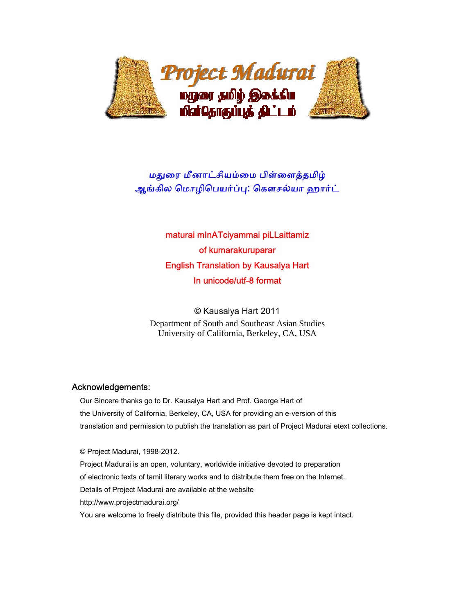

# மதுரை மீனாட்சியம்மை பிள்ளைத்தமிழ் ஆங்கில மொழிபெயர்ப்பு: கௌசல்யா ஹார்ட்

# maturai mInATciyammai piLLaittamiz of kumarakuruparar English Translation by Kausalya Hart In unicode/utf-8 format

© Kausalya Hart 2011 Department of South and Southeast Asian Studies University of California, Berkeley, CA, USA

# Acknowledgements:

 Our Sincere thanks go to Dr. Kausalya Hart and Prof. George Hart of the University of California, Berkeley, CA, USA for providing an e-version of this translation and permission to publish the translation as part of Project Madurai etext collections.

 © Project Madurai, 1998-2012. Project Madurai is an open, voluntary, worldwide initiative devoted to preparation of electronic texts of tamil literary works and to distribute them free on the Internet. Details of Project Madurai are available at the website http://www.projectmadurai.org/ You are welcome to freely distribute this file, provided this header page is kept intact.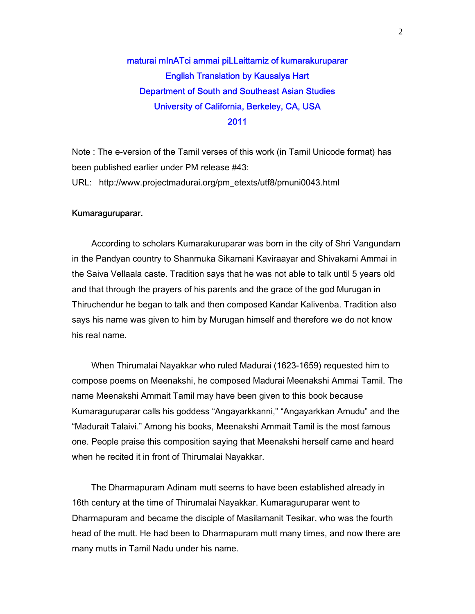# maturai mInATci ammai piLLaittamiz of kumarakuruparar English Translation by Kausalya Hart Department of South and Southeast Asian Studies University of California, Berkeley, CA, USA 2011

Note : The e-version of the Tamil verses of this work (in Tamil Unicode format) has been published earlier under PM release #43: URL: http://www.projectmadurai.org/pm\_etexts/utf8/pmuni0043.html

#### Kumaraguruparar.

 According to scholars Kumarakuruparar was born in the city of Shri Vangundam in the Pandyan country to Shanmuka Sikamani Kaviraayar and Shivakami Ammai in the Saiva Vellaala caste. Tradition says that he was not able to talk until 5 years old and that through the prayers of his parents and the grace of the god Murugan in Thiruchendur he began to talk and then composed Kandar Kalivenba. Tradition also says his name was given to him by Murugan himself and therefore we do not know his real name.

 When Thirumalai Nayakkar who ruled Madurai (1623-1659) requested him to compose poems on Meenakshi, he composed Madurai Meenakshi Ammai Tamil. The name Meenakshi Ammait Tamil may have been given to this book because Kumaraguruparar calls his goddess "Angayarkkanni," "Angayarkkan Amudu" and the "Madurait Talaivi." Among his books, Meenakshi Ammait Tamil is the most famous one. People praise this composition saying that Meenakshi herself came and heard when he recited it in front of Thirumalai Nayakkar.

 The Dharmapuram Adinam mutt seems to have been established already in 16th century at the time of Thirumalai Nayakkar. Kumaraguruparar went to Dharmapuram and became the disciple of Masilamanit Tesikar, who was the fourth head of the mutt. He had been to Dharmapuram mutt many times, and now there are many mutts in Tamil Nadu under his name.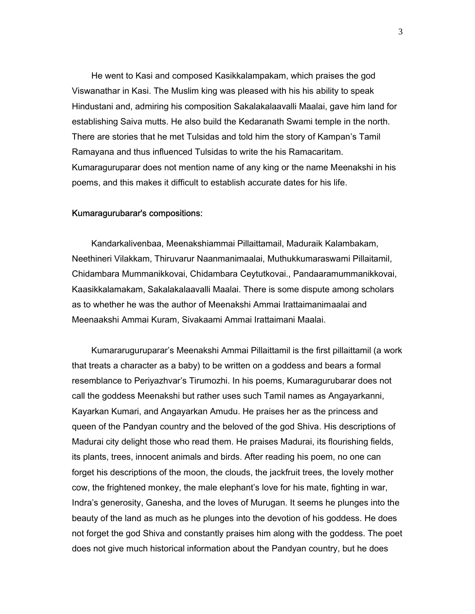He went to Kasi and composed Kasikkalampakam, which praises the god Viswanathar in Kasi. The Muslim king was pleased with his his ability to speak Hindustani and, admiring his composition Sakalakalaavalli Maalai, gave him land for establishing Saiva mutts. He also build the Kedaranath Swami temple in the north. There are stories that he met Tulsidas and told him the story of Kampan's Tamil Ramayana and thus influenced Tulsidas to write the his Ramacaritam. Kumaraguruparar does not mention name of any king or the name Meenakshi in his poems, and this makes it difficult to establish accurate dates for his life.

#### Kumaragurubarar's compositions:

 Kandarkalivenbaa, Meenakshiammai Pillaittamail, Maduraik Kalambakam, Neethineri Vilakkam, Thiruvarur Naanmanimaalai, Muthukkumaraswami Pillaitamil, Chidambara Mummanikkovai, Chidambara Ceytutkovai., Pandaaramummanikkovai, Kaasikkalamakam, Sakalakalaavalli Maalai. There is some dispute among scholars as to whether he was the author of Meenakshi Ammai Irattaimanimaalai and Meenaakshi Ammai Kuram, Sivakaami Ammai Irattaimani Maalai.

 Kumararuguruparar's Meenakshi Ammai Pillaittamil is the first pillaittamil (a work that treats a character as a baby) to be written on a goddess and bears a formal resemblance to Periyazhvar's Tirumozhi. In his poems, Kumaragurubarar does not call the goddess Meenakshi but rather uses such Tamil names as Angayarkanni, Kayarkan Kumari, and Angayarkan Amudu. He praises her as the princess and queen of the Pandyan country and the beloved of the god Shiva. His descriptions of Madurai city delight those who read them. He praises Madurai, its flourishing fields, its plants, trees, innocent animals and birds. After reading his poem, no one can forget his descriptions of the moon, the clouds, the jackfruit trees, the lovely mother cow, the frightened monkey, the male elephant's love for his mate, fighting in war, Indra's generosity, Ganesha, and the loves of Murugan. It seems he plunges into the beauty of the land as much as he plunges into the devotion of his goddess. He does not forget the god Shiva and constantly praises him along with the goddess. The poet does not give much historical information about the Pandyan country, but he does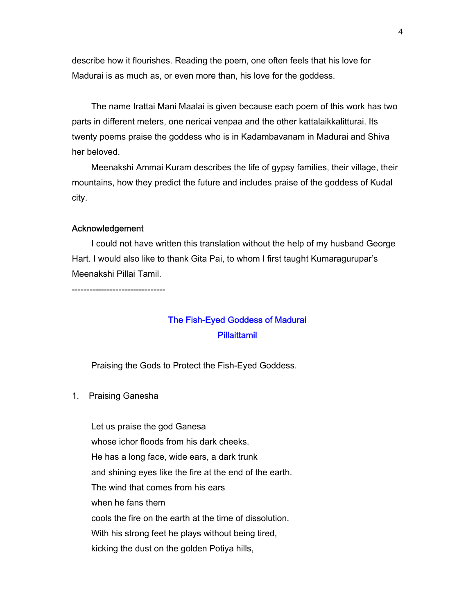describe how it flourishes. Reading the poem, one often feels that his love for Madurai is as much as, or even more than, his love for the goddess.

 The name Irattai Mani Maalai is given because each poem of this work has two parts in different meters, one nericai venpaa and the other kattalaikkalitturai. Its twenty poems praise the goddess who is in Kadambavanam in Madurai and Shiva her beloved.

 Meenakshi Ammai Kuram describes the life of gypsy families, their village, their mountains, how they predict the future and includes praise of the goddess of Kudal city.

#### Acknowledgement

 I could not have written this translation without the help of my husband George Hart. I would also like to thank Gita Pai, to whom I first taught Kumaragurupar's Meenakshi Pillai Tamil.

--------------------------------

# The Fish-Eyed Goddess of Madurai **Pillaittamil**

Praising the Gods to Protect the Fish-Eyed Goddess.

1. Praising Ganesha

 Let us praise the god Ganesa whose ichor floods from his dark cheeks. He has a long face, wide ears, a dark trunk and shining eyes like the fire at the end of the earth. The wind that comes from his ears when he fans them cools the fire on the earth at the time of dissolution. With his strong feet he plays without being tired, kicking the dust on the golden Potiya hills,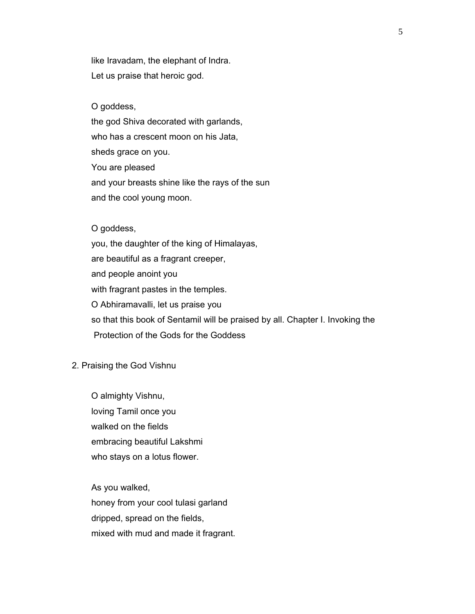like Iravadam, the elephant of Indra. Let us praise that heroic god.

O goddess,

the god Shiva decorated with garlands,

who has a crescent moon on his Jata,

sheds grace on you.

You are pleased

and your breasts shine like the rays of the sun

and the cool young moon.

## O goddess,

 you, the daughter of the king of Himalayas, are beautiful as a fragrant creeper, and people anoint you with fragrant pastes in the temples. O Abhiramavalli, let us praise you so that this book of Sentamil will be praised by all. Chapter I. Invoking the Protection of the Gods for the Goddess

#### 2. Praising the God Vishnu

 O almighty Vishnu, loving Tamil once you walked on the fields embracing beautiful Lakshmi who stays on a lotus flower.

As you walked,

honey from your cool tulasi garland

dripped, spread on the fields,

mixed with mud and made it fragrant.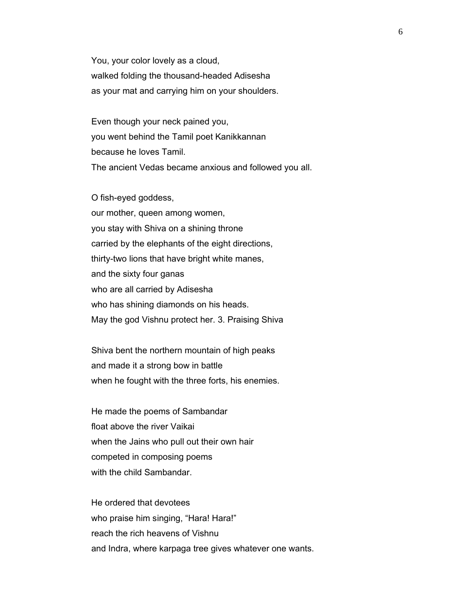You, your color lovely as a cloud, walked folding the thousand-headed Adisesha as your mat and carrying him on your shoulders.

 Even though your neck pained you, you went behind the Tamil poet Kanikkannan because he loves Tamil. The ancient Vedas became anxious and followed you all.

 O fish-eyed goddess, our mother, queen among women, you stay with Shiva on a shining throne carried by the elephants of the eight directions, thirty-two lions that have bright white manes, and the sixty four ganas who are all carried by Adisesha who has shining diamonds on his heads. May the god Vishnu protect her. 3. Praising Shiva

 Shiva bent the northern mountain of high peaks and made it a strong bow in battle when he fought with the three forts, his enemies.

 He made the poems of Sambandar float above the river Vaikai when the Jains who pull out their own hair competed in composing poems with the child Sambandar.

 He ordered that devotees who praise him singing, "Hara! Hara!" reach the rich heavens of Vishnu and Indra, where karpaga tree gives whatever one wants.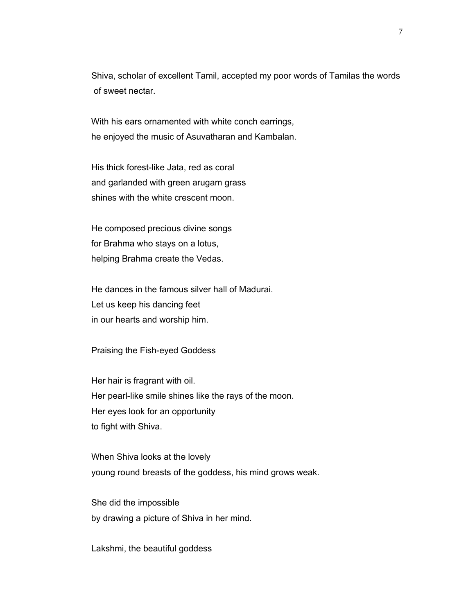Shiva, scholar of excellent Tamil, accepted my poor words of Tamilas the words of sweet nectar.

 With his ears ornamented with white conch earrings, he enjoyed the music of Asuvatharan and Kambalan.

 His thick forest-like Jata, red as coral and garlanded with green arugam grass shines with the white crescent moon.

 He composed precious divine songs for Brahma who stays on a lotus, helping Brahma create the Vedas.

 He dances in the famous silver hall of Madurai. Let us keep his dancing feet in our hearts and worship him.

Praising the Fish-eyed Goddess

 Her hair is fragrant with oil. Her pearl-like smile shines like the rays of the moon. Her eyes look for an opportunity to fight with Shiva.

 When Shiva looks at the lovely young round breasts of the goddess, his mind grows weak.

 She did the impossible by drawing a picture of Shiva in her mind.

Lakshmi, the beautiful goddess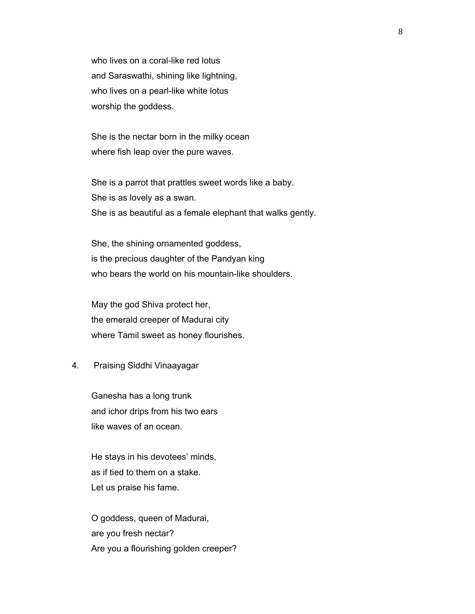who lives on a coral-like red lotus and Saraswathi, shining like lightning, who lives on a pearl-like white lotus worship the goddess.

 She is the nectar born in the milky ocean where fish leap over the pure waves.

 She is a parrot that prattles sweet words like a baby. She is as lovely as a swan. She is as beautiful as a female elephant that walks gently.

 She, the shining ornamented goddess, is the precious daughter of the Pandyan king who bears the world on his mountain-like shoulders.

 May the god Shiva protect her, the emerald creeper of Madurai city where Tamil sweet as honey flourishes.

#### 4. Praising Siddhi Vinaayagar

 Ganesha has a long trunk and ichor drips from his two ears like waves of an ocean.

 He stays in his devotees' minds, as if tied to them on a stake. Let us praise his fame.

 O goddess, queen of Madurai, are you fresh nectar? Are you a flourishing golden creeper?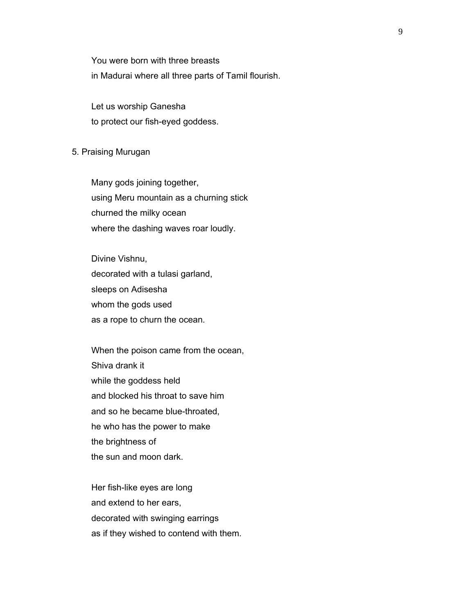You were born with three breasts in Madurai where all three parts of Tamil flourish.

 Let us worship Ganesha to protect our fish-eyed goddess.

#### 5. Praising Murugan

 Many gods joining together, using Meru mountain as a churning stick churned the milky ocean where the dashing waves roar loudly.

 Divine Vishnu, decorated with a tulasi garland, sleeps on Adisesha whom the gods used as a rope to churn the ocean.

 When the poison came from the ocean, Shiva drank it while the goddess held and blocked his throat to save him and so he became blue-throated, he who has the power to make the brightness of the sun and moon dark.

 Her fish-like eyes are long and extend to her ears, decorated with swinging earrings as if they wished to contend with them.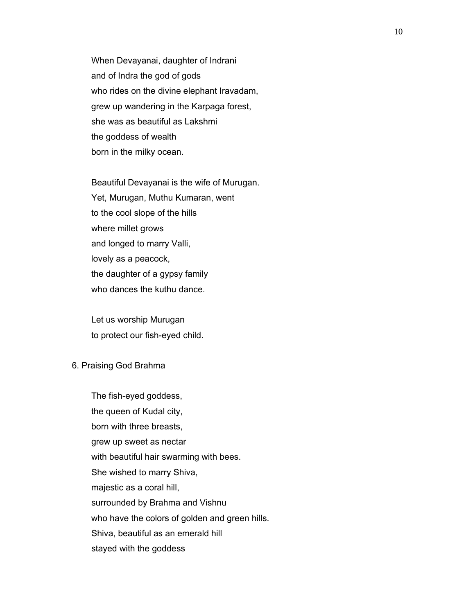When Devayanai, daughter of Indrani and of Indra the god of gods who rides on the divine elephant Iravadam, grew up wandering in the Karpaga forest, she was as beautiful as Lakshmi the goddess of wealth born in the milky ocean.

 Beautiful Devayanai is the wife of Murugan. Yet, Murugan, Muthu Kumaran, went to the cool slope of the hills where millet grows and longed to marry Valli, lovely as a peacock, the daughter of a gypsy family who dances the kuthu dance.

 Let us worship Murugan to protect our fish-eyed child.

#### 6. Praising God Brahma

 The fish-eyed goddess, the queen of Kudal city, born with three breasts, grew up sweet as nectar with beautiful hair swarming with bees. She wished to marry Shiva, majestic as a coral hill, surrounded by Brahma and Vishnu who have the colors of golden and green hills. Shiva, beautiful as an emerald hill stayed with the goddess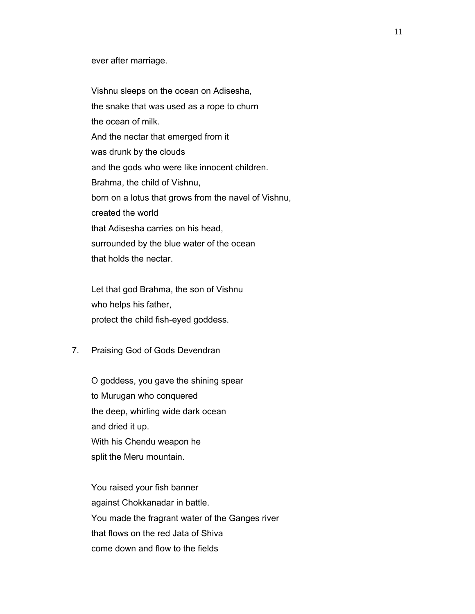#### ever after marriage.

 Vishnu sleeps on the ocean on Adisesha, the snake that was used as a rope to churn the ocean of milk. And the nectar that emerged from it was drunk by the clouds and the gods who were like innocent children. Brahma, the child of Vishnu, born on a lotus that grows from the navel of Vishnu, created the world that Adisesha carries on his head, surrounded by the blue water of the ocean that holds the nectar.

 Let that god Brahma, the son of Vishnu who helps his father, protect the child fish-eyed goddess.

7. Praising God of Gods Devendran

 O goddess, you gave the shining spear to Murugan who conquered the deep, whirling wide dark ocean and dried it up. With his Chendu weapon he split the Meru mountain.

 You raised your fish banner against Chokkanadar in battle. You made the fragrant water of the Ganges river that flows on the red Jata of Shiva come down and flow to the fields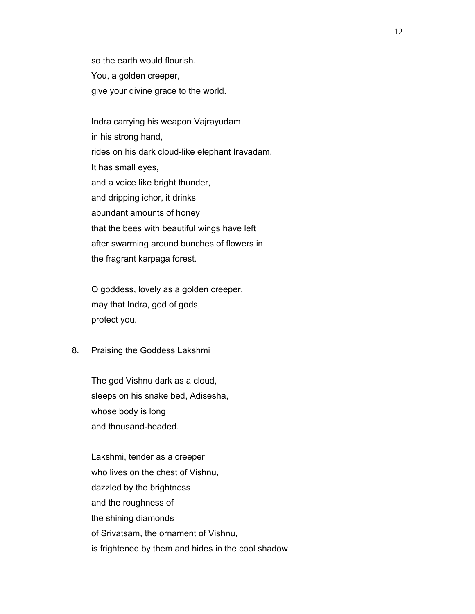so the earth would flourish. You, a golden creeper, give your divine grace to the world.

 Indra carrying his weapon Vajrayudam in his strong hand, rides on his dark cloud-like elephant Iravadam. It has small eyes, and a voice like bright thunder, and dripping ichor, it drinks abundant amounts of honey that the bees with beautiful wings have left after swarming around bunches of flowers in the fragrant karpaga forest.

 O goddess, lovely as a golden creeper, may that Indra, god of gods, protect you.

8. Praising the Goddess Lakshmi

 The god Vishnu dark as a cloud, sleeps on his snake bed, Adisesha, whose body is long and thousand-headed.

 Lakshmi, tender as a creeper who lives on the chest of Vishnu, dazzled by the brightness and the roughness of the shining diamonds of Srivatsam, the ornament of Vishnu, is frightened by them and hides in the cool shadow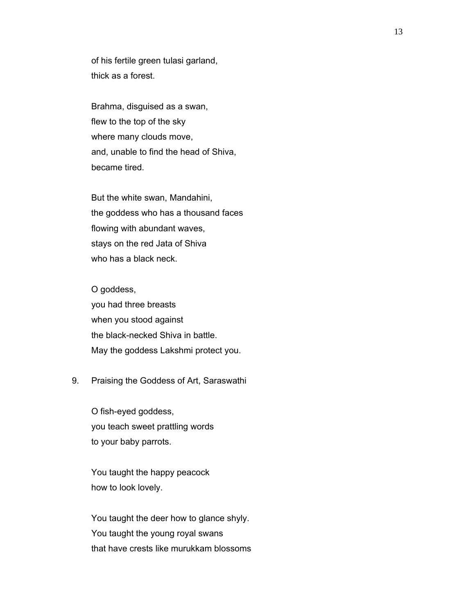of his fertile green tulasi garland, thick as a forest.

 Brahma, disguised as a swan, flew to the top of the sky where many clouds move, and, unable to find the head of Shiva, became tired.

 But the white swan, Mandahini, the goddess who has a thousand faces flowing with abundant waves, stays on the red Jata of Shiva who has a black neck.

 O goddess, you had three breasts when you stood against the black-necked Shiva in battle. May the goddess Lakshmi protect you.

# 9. Praising the Goddess of Art, Saraswathi

 O fish-eyed goddess, you teach sweet prattling words to your baby parrots.

 You taught the happy peacock how to look lovely.

 You taught the deer how to glance shyly. You taught the young royal swans that have crests like murukkam blossoms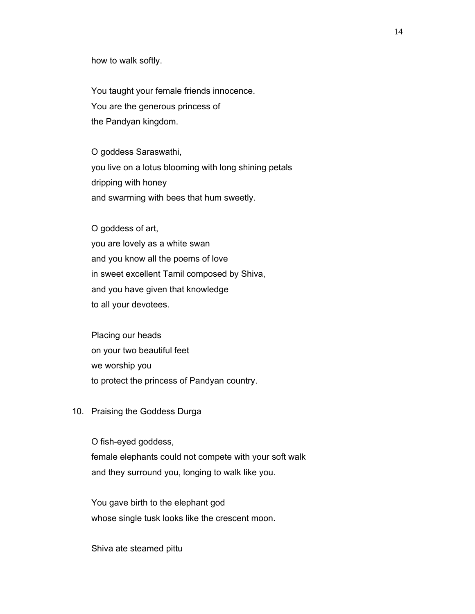how to walk softly.

 You taught your female friends innocence. You are the generous princess of the Pandyan kingdom.

 O goddess Saraswathi, you live on a lotus blooming with long shining petals dripping with honey and swarming with bees that hum sweetly.

 O goddess of art, you are lovely as a white swan and you know all the poems of love in sweet excellent Tamil composed by Shiva, and you have given that knowledge to all your devotees.

 Placing our heads on your two beautiful feet we worship you to protect the princess of Pandyan country.

10. Praising the Goddess Durga

 O fish-eyed goddess, female elephants could not compete with your soft walk and they surround you, longing to walk like you.

 You gave birth to the elephant god whose single tusk looks like the crescent moon.

Shiva ate steamed pittu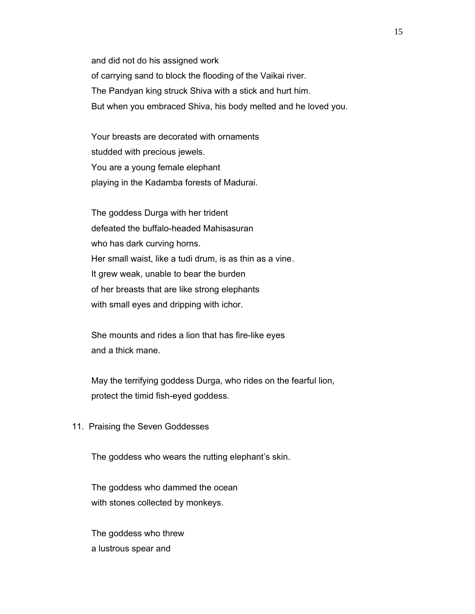and did not do his assigned work of carrying sand to block the flooding of the Vaikai river. The Pandyan king struck Shiva with a stick and hurt him. But when you embraced Shiva, his body melted and he loved you.

 Your breasts are decorated with ornaments studded with precious jewels. You are a young female elephant playing in the Kadamba forests of Madurai.

 The goddess Durga with her trident defeated the buffalo-headed Mahisasuran who has dark curving horns. Her small waist, like a tudi drum, is as thin as a vine. It grew weak, unable to bear the burden of her breasts that are like strong elephants with small eyes and dripping with ichor.

 She mounts and rides a lion that has fire-like eyes and a thick mane.

 May the terrifying goddess Durga, who rides on the fearful lion, protect the timid fish-eyed goddess.

11. Praising the Seven Goddesses

The goddess who wears the rutting elephant's skin.

 The goddess who dammed the ocean with stones collected by monkeys.

 The goddess who threw a lustrous spear and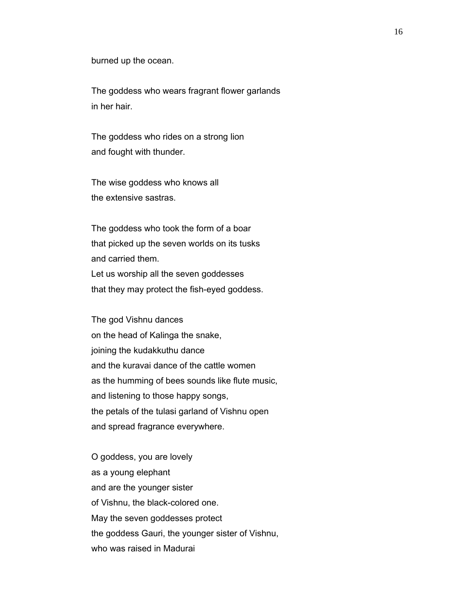burned up the ocean.

 The goddess who wears fragrant flower garlands in her hair.

 The goddess who rides on a strong lion and fought with thunder.

 The wise goddess who knows all the extensive sastras.

 The goddess who took the form of a boar that picked up the seven worlds on its tusks and carried them. Let us worship all the seven goddesses that they may protect the fish-eyed goddess.

 The god Vishnu dances on the head of Kalinga the snake, joining the kudakkuthu dance and the kuravai dance of the cattle women as the humming of bees sounds like flute music, and listening to those happy songs, the petals of the tulasi garland of Vishnu open and spread fragrance everywhere.

 O goddess, you are lovely as a young elephant and are the younger sister of Vishnu, the black-colored one. May the seven goddesses protect the goddess Gauri, the younger sister of Vishnu, who was raised in Madurai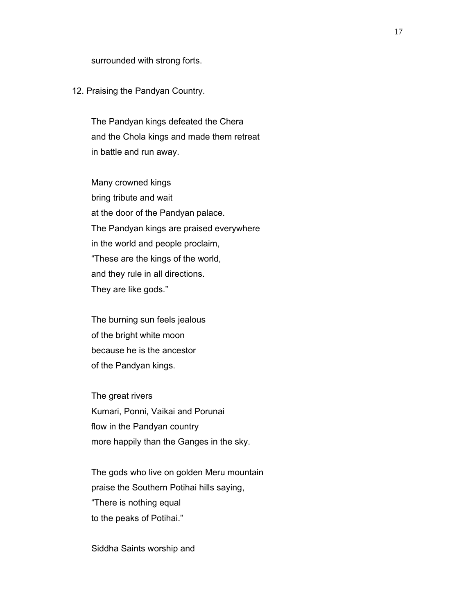surrounded with strong forts.

#### 12. Praising the Pandyan Country.

 The Pandyan kings defeated the Chera and the Chola kings and made them retreat in battle and run away.

 Many crowned kings bring tribute and wait at the door of the Pandyan palace. The Pandyan kings are praised everywhere in the world and people proclaim, "These are the kings of the world, and they rule in all directions. They are like gods."

 The burning sun feels jealous of the bright white moon because he is the ancestor of the Pandyan kings.

 The great rivers Kumari, Ponni, Vaikai and Porunai flow in the Pandyan country more happily than the Ganges in the sky.

 The gods who live on golden Meru mountain praise the Southern Potihai hills saying, "There is nothing equal to the peaks of Potihai."

Siddha Saints worship and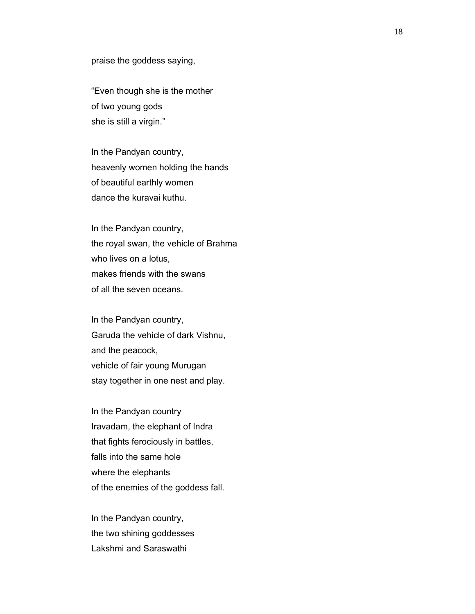praise the goddess saying,

 "Even though she is the mother of two young gods she is still a virgin."

 In the Pandyan country, heavenly women holding the hands of beautiful earthly women dance the kuravai kuthu.

 In the Pandyan country, the royal swan, the vehicle of Brahma who lives on a lotus, makes friends with the swans of all the seven oceans.

 In the Pandyan country, Garuda the vehicle of dark Vishnu, and the peacock, vehicle of fair young Murugan stay together in one nest and play.

 In the Pandyan country Iravadam, the elephant of Indra that fights ferociously in battles, falls into the same hole where the elephants of the enemies of the goddess fall.

 In the Pandyan country, the two shining goddesses Lakshmi and Saraswathi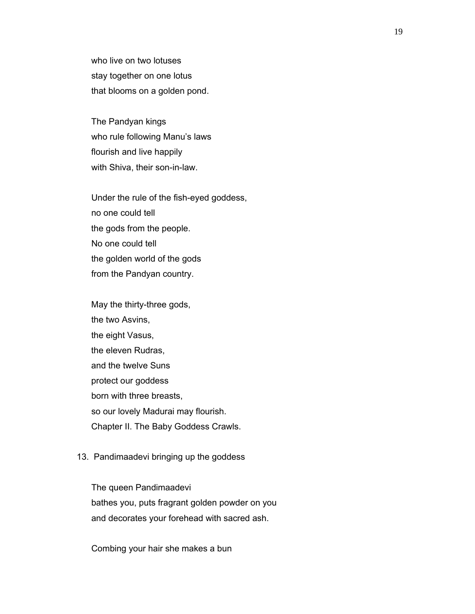who live on two lotuses stay together on one lotus that blooms on a golden pond.

 The Pandyan kings who rule following Manu's laws flourish and live happily with Shiva, their son-in-law.

 Under the rule of the fish-eyed goddess, no one could tell the gods from the people. No one could tell the golden world of the gods from the Pandyan country.

 May the thirty-three gods, the two Asvins, the eight Vasus, the eleven Rudras, and the twelve Suns protect our goddess born with three breasts, so our lovely Madurai may flourish. Chapter II. The Baby Goddess Crawls.

#### 13. Pandimaadevi bringing up the goddess

 The queen Pandimaadevi bathes you, puts fragrant golden powder on you and decorates your forehead with sacred ash.

Combing your hair she makes a bun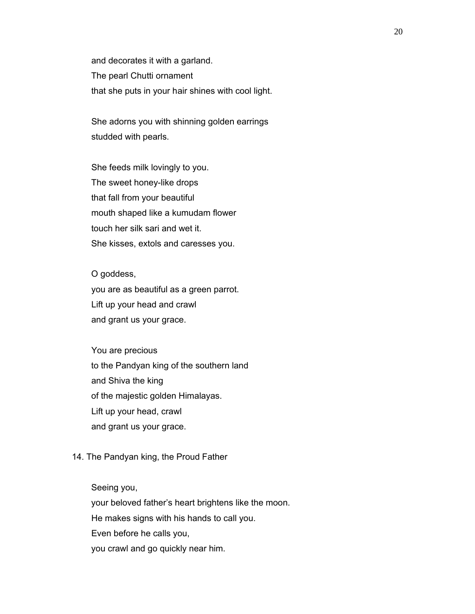and decorates it with a garland. The pearl Chutti ornament that she puts in your hair shines with cool light.

 She adorns you with shinning golden earrings studded with pearls.

 She feeds milk lovingly to you. The sweet honey-like drops that fall from your beautiful mouth shaped like a kumudam flower touch her silk sari and wet it. She kisses, extols and caresses you.

O goddess,

 you are as beautiful as a green parrot. Lift up your head and crawl and grant us your grace.

 You are precious to the Pandyan king of the southern land and Shiva the king of the majestic golden Himalayas. Lift up your head, crawl and grant us your grace.

#### 14. The Pandyan king, the Proud Father

Seeing you,

your beloved father's heart brightens like the moon.

He makes signs with his hands to call you.

Even before he calls you,

you crawl and go quickly near him.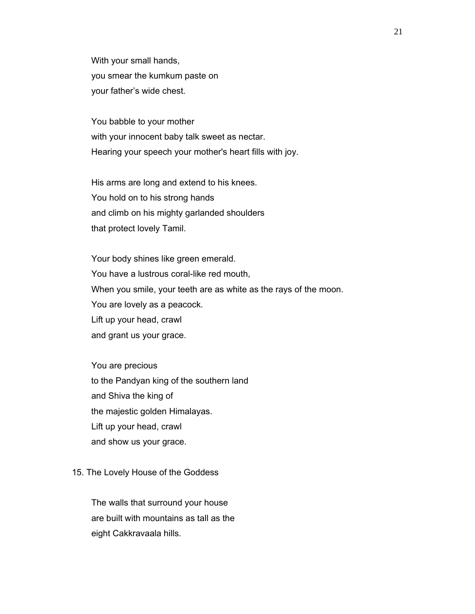With your small hands, you smear the kumkum paste on your father's wide chest.

 You babble to your mother with your innocent baby talk sweet as nectar. Hearing your speech your mother's heart fills with joy.

 His arms are long and extend to his knees. You hold on to his strong hands and climb on his mighty garlanded shoulders that protect lovely Tamil.

 Your body shines like green emerald. You have a lustrous coral-like red mouth, When you smile, your teeth are as white as the rays of the moon. You are lovely as a peacock. Lift up your head, crawl and grant us your grace.

 You are precious to the Pandyan king of the southern land and Shiva the king of the majestic golden Himalayas. Lift up your head, crawl and show us your grace.

#### 15. The Lovely House of the Goddess

 The walls that surround your house are built with mountains as tall as the eight Cakkravaala hills.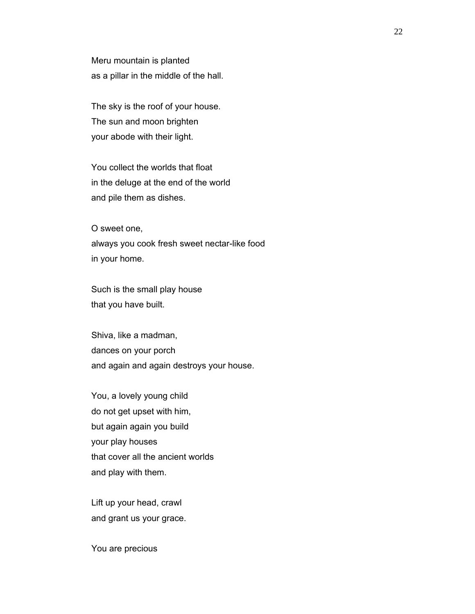Meru mountain is planted as a pillar in the middle of the hall.

 The sky is the roof of your house. The sun and moon brighten your abode with their light.

 You collect the worlds that float in the deluge at the end of the world and pile them as dishes.

 O sweet one, always you cook fresh sweet nectar-like food in your home.

 Such is the small play house that you have built.

 Shiva, like a madman, dances on your porch and again and again destroys your house.

 You, a lovely young child do not get upset with him, but again again you build your play houses that cover all the ancient worlds and play with them.

 Lift up your head, crawl and grant us your grace.

You are precious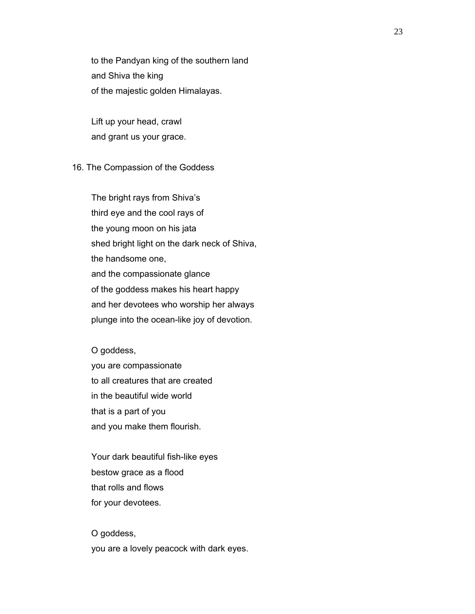to the Pandyan king of the southern land and Shiva the king of the majestic golden Himalayas.

 Lift up your head, crawl and grant us your grace.

# 16. The Compassion of the Goddess

 The bright rays from Shiva's third eye and the cool rays of the young moon on his jata shed bright light on the dark neck of Shiva, the handsome one, and the compassionate glance of the goddess makes his heart happy and her devotees who worship her always plunge into the ocean-like joy of devotion.

# O goddess,

 you are compassionate to all creatures that are created in the beautiful wide world that is a part of you and you make them flourish.

 Your dark beautiful fish-like eyes bestow grace as a flood that rolls and flows for your devotees.

 O goddess, you are a lovely peacock with dark eyes.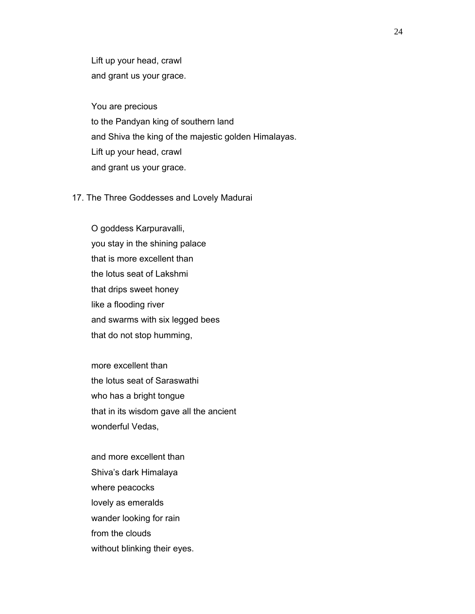Lift up your head, crawl and grant us your grace.

 You are precious to the Pandyan king of southern land and Shiva the king of the majestic golden Himalayas. Lift up your head, crawl and grant us your grace.

### 17. The Three Goddesses and Lovely Madurai

 O goddess Karpuravalli, you stay in the shining palace that is more excellent than the lotus seat of Lakshmi that drips sweet honey like a flooding river and swarms with six legged bees that do not stop humming,

 more excellent than the lotus seat of Saraswathi who has a bright tongue that in its wisdom gave all the ancient wonderful Vedas,

 and more excellent than Shiva's dark Himalaya where peacocks lovely as emeralds wander looking for rain from the clouds without blinking their eyes.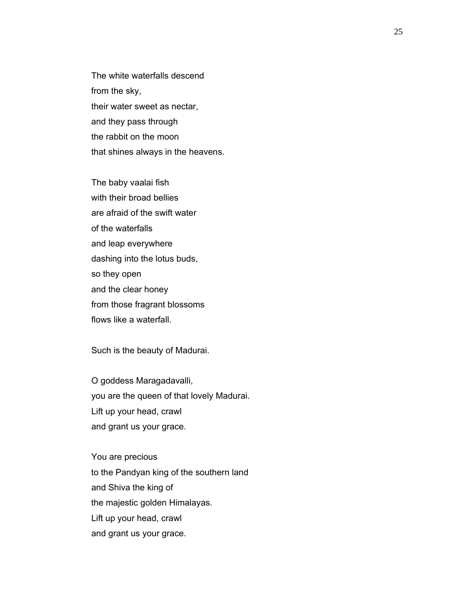The white waterfalls descend from the sky, their water sweet as nectar, and they pass through the rabbit on the moon that shines always in the heavens.

 The baby vaalai fish with their broad bellies are afraid of the swift water of the waterfalls and leap everywhere dashing into the lotus buds, so they open and the clear honey from those fragrant blossoms flows like a waterfall.

Such is the beauty of Madurai.

 O goddess Maragadavalli, you are the queen of that lovely Madurai. Lift up your head, crawl and grant us your grace.

 You are precious to the Pandyan king of the southern land and Shiva the king of the majestic golden Himalayas. Lift up your head, crawl and grant us your grace.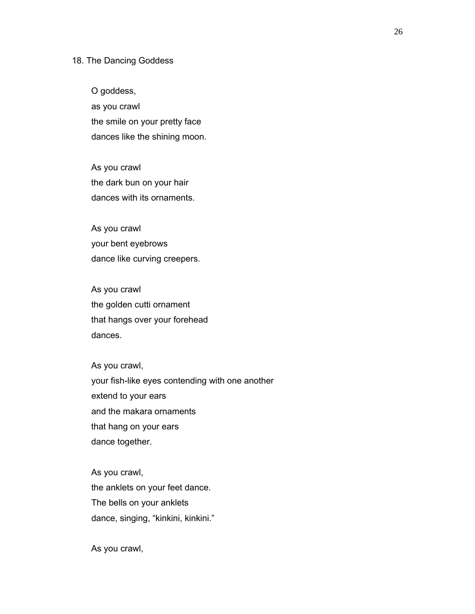### 18. The Dancing Goddess

 O goddess, as you crawl the smile on your pretty face dances like the shining moon.

 As you crawl the dark bun on your hair dances with its ornaments.

 As you crawl your bent eyebrows dance like curving creepers.

 As you crawl the golden cutti ornament that hangs over your forehead dances.

 As you crawl, your fish-like eyes contending with one another extend to your ears and the makara ornaments that hang on your ears dance together.

 As you crawl, the anklets on your feet dance. The bells on your anklets dance, singing, "kinkini, kinkini."

As you crawl,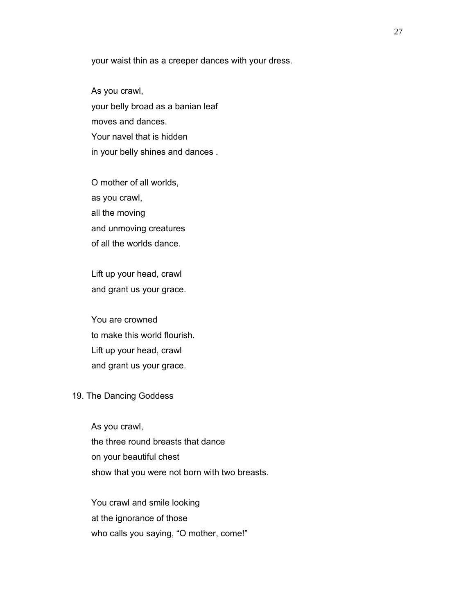your waist thin as a creeper dances with your dress.

 As you crawl, your belly broad as a banian leaf moves and dances. Your navel that is hidden in your belly shines and dances .

 O mother of all worlds, as you crawl, all the moving and unmoving creatures of all the worlds dance.

 Lift up your head, crawl and grant us your grace.

 You are crowned to make this world flourish. Lift up your head, crawl and grant us your grace.

#### 19. The Dancing Goddess

 As you crawl, the three round breasts that dance on your beautiful chest show that you were not born with two breasts.

 You crawl and smile looking at the ignorance of those who calls you saying, "O mother, come!"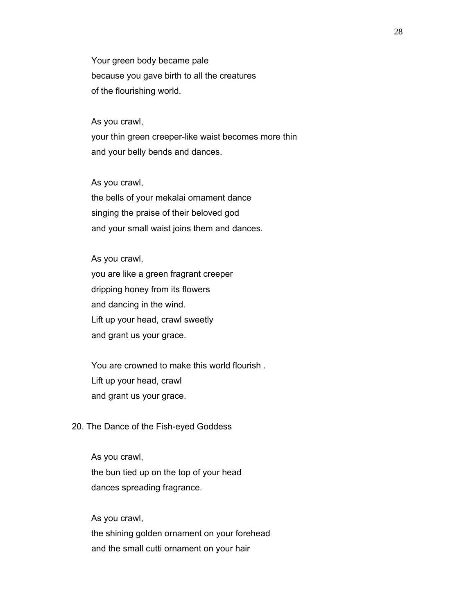Your green body became pale because you gave birth to all the creatures of the flourishing world.

#### As you crawl,

 your thin green creeper-like waist becomes more thin and your belly bends and dances.

#### As you crawl,

 the bells of your mekalai ornament dance singing the praise of their beloved god and your small waist joins them and dances.

# As you crawl,

 you are like a green fragrant creeper dripping honey from its flowers and dancing in the wind. Lift up your head, crawl sweetly and grant us your grace.

 You are crowned to make this world flourish . Lift up your head, crawl and grant us your grace.

## 20. The Dance of the Fish-eyed Goddess

 As you crawl, the bun tied up on the top of your head dances spreading fragrance.

#### As you crawl,

 the shining golden ornament on your forehead and the small cutti ornament on your hair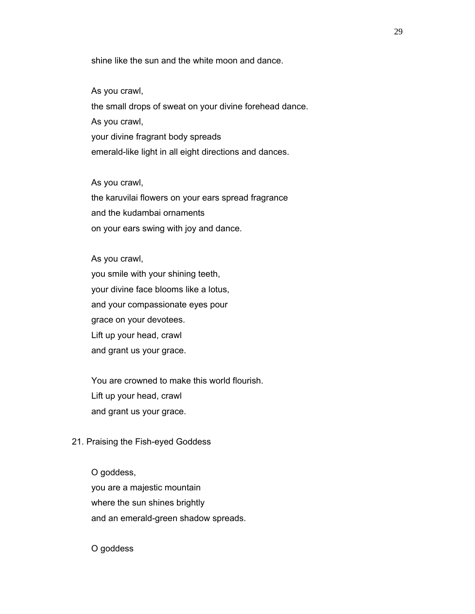shine like the sun and the white moon and dance.

#### As you crawl,

 the small drops of sweat on your divine forehead dance. As you crawl, your divine fragrant body spreads emerald-like light in all eight directions and dances.

#### As you crawl,

 the karuvilai flowers on your ears spread fragrance and the kudambai ornaments on your ears swing with joy and dance.

# As you crawl,

 you smile with your shining teeth, your divine face blooms like a lotus, and your compassionate eyes pour grace on your devotees. Lift up your head, crawl and grant us your grace.

 You are crowned to make this world flourish. Lift up your head, crawl and grant us your grace.

#### 21. Praising the Fish-eyed Goddess

 O goddess, you are a majestic mountain where the sun shines brightly and an emerald-green shadow spreads.

## O goddess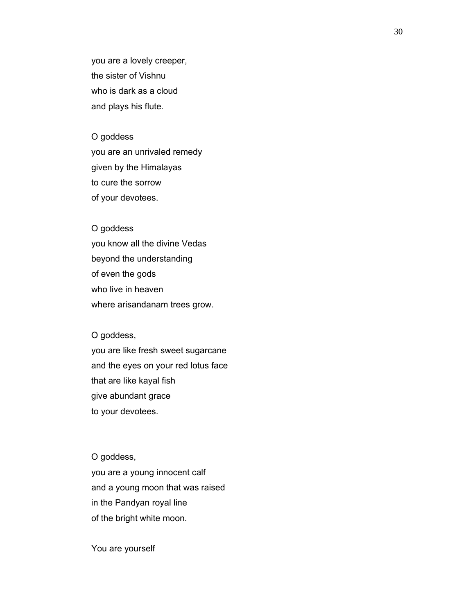you are a lovely creeper, the sister of Vishnu who is dark as a cloud and plays his flute.

#### O goddess

 you are an unrivaled remedy given by the Himalayas to cure the sorrow of your devotees.

# O goddess

 you know all the divine Vedas beyond the understanding of even the gods who live in heaven where arisandanam trees grow.

# O goddess,

 you are like fresh sweet sugarcane and the eyes on your red lotus face that are like kayal fish give abundant grace to your devotees.

#### O goddess,

 you are a young innocent calf and a young moon that was raised in the Pandyan royal line of the bright white moon.

You are yourself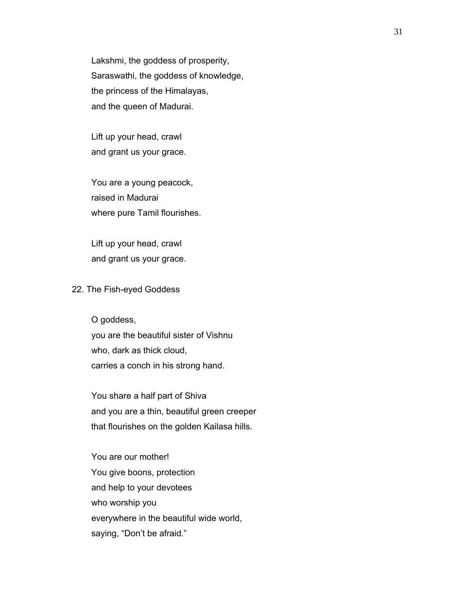Lakshmi, the goddess of prosperity, Saraswathi, the goddess of knowledge, the princess of the Himalayas, and the queen of Madurai.

 Lift up your head, crawl and grant us your grace.

 You are a young peacock, raised in Madurai where pure Tamil flourishes.

 Lift up your head, crawl and grant us your grace.

#### 22. The Fish-eyed Goddess

 O goddess, you are the beautiful sister of Vishnu who, dark as thick cloud, carries a conch in his strong hand.

 You share a half part of Shiva and you are a thin, beautiful green creeper that flourishes on the golden Kailasa hills.

 You are our mother! You give boons, protection and help to your devotees who worship you everywhere in the beautiful wide world, saying, "Don't be afraid."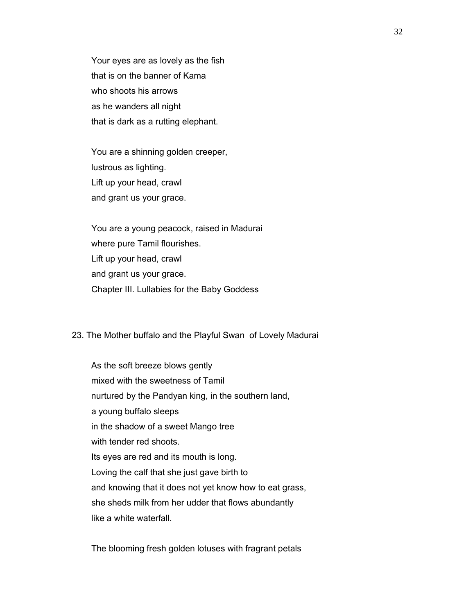Your eyes are as lovely as the fish that is on the banner of Kama who shoots his arrows as he wanders all night that is dark as a rutting elephant.

 You are a shinning golden creeper, lustrous as lighting. Lift up your head, crawl and grant us your grace.

 You are a young peacock, raised in Madurai where pure Tamil flourishes. Lift up your head, crawl and grant us your grace. Chapter III. Lullabies for the Baby Goddess

#### 23. The Mother buffalo and the Playful Swan of Lovely Madurai

 As the soft breeze blows gently mixed with the sweetness of Tamil nurtured by the Pandyan king, in the southern land, a young buffalo sleeps in the shadow of a sweet Mango tree with tender red shoots. Its eyes are red and its mouth is long. Loving the calf that she just gave birth to and knowing that it does not yet know how to eat grass, she sheds milk from her udder that flows abundantly like a white waterfall.

The blooming fresh golden lotuses with fragrant petals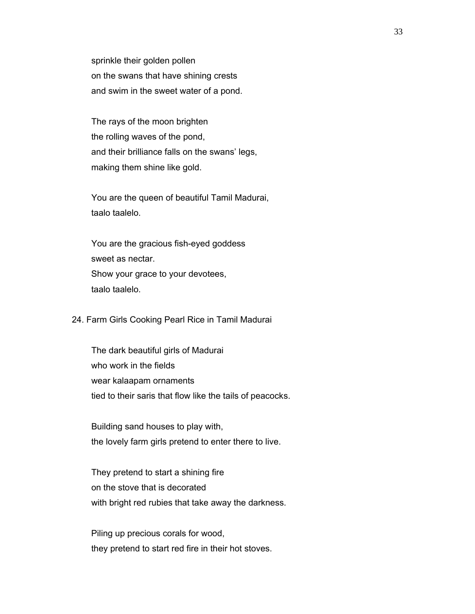sprinkle their golden pollen on the swans that have shining crests and swim in the sweet water of a pond.

 The rays of the moon brighten the rolling waves of the pond, and their brilliance falls on the swans' legs, making them shine like gold.

 You are the queen of beautiful Tamil Madurai, taalo taalelo.

 You are the gracious fish-eyed goddess sweet as nectar. Show your grace to your devotees, taalo taalelo.

24. Farm Girls Cooking Pearl Rice in Tamil Madurai

 The dark beautiful girls of Madurai who work in the fields wear kalaapam ornaments tied to their saris that flow like the tails of peacocks.

 Building sand houses to play with, the lovely farm girls pretend to enter there to live.

 They pretend to start a shining fire on the stove that is decorated with bright red rubies that take away the darkness.

 Piling up precious corals for wood, they pretend to start red fire in their hot stoves.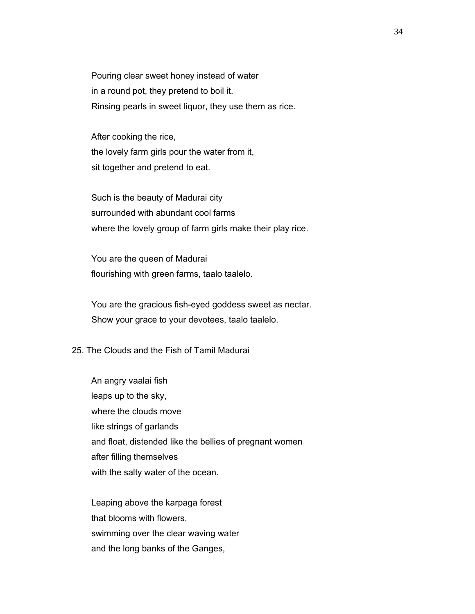Pouring clear sweet honey instead of water in a round pot, they pretend to boil it. Rinsing pearls in sweet liquor, they use them as rice.

 After cooking the rice, the lovely farm girls pour the water from it, sit together and pretend to eat.

 Such is the beauty of Madurai city surrounded with abundant cool farms where the lovely group of farm girls make their play rice.

 You are the queen of Madurai flourishing with green farms, taalo taalelo.

 You are the gracious fish-eyed goddess sweet as nectar. Show your grace to your devotees, taalo taalelo.

# 25. The Clouds and the Fish of Tamil Madurai

 An angry vaalai fish leaps up to the sky, where the clouds move like strings of garlands and float, distended like the bellies of pregnant women after filling themselves with the salty water of the ocean.

 Leaping above the karpaga forest that blooms with flowers, swimming over the clear waving water and the long banks of the Ganges,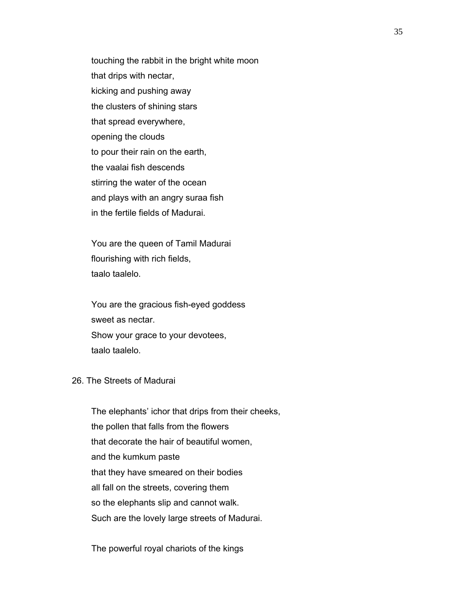touching the rabbit in the bright white moon that drips with nectar, kicking and pushing away the clusters of shining stars that spread everywhere, opening the clouds to pour their rain on the earth, the vaalai fish descends stirring the water of the ocean and plays with an angry suraa fish in the fertile fields of Madurai.

 You are the queen of Tamil Madurai flourishing with rich fields, taalo taalelo.

 You are the gracious fish-eyed goddess sweet as nectar. Show your grace to your devotees, taalo taalelo.

# 26. The Streets of Madurai

 The elephants' ichor that drips from their cheeks, the pollen that falls from the flowers that decorate the hair of beautiful women, and the kumkum paste that they have smeared on their bodies all fall on the streets, covering them so the elephants slip and cannot walk. Such are the lovely large streets of Madurai.

The powerful royal chariots of the kings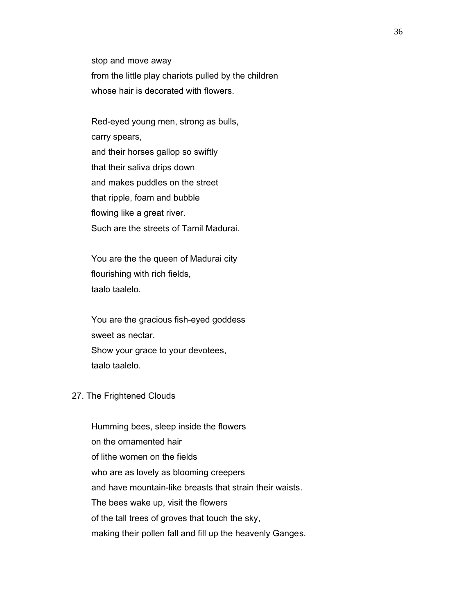stop and move away from the little play chariots pulled by the children whose hair is decorated with flowers.

 Red-eyed young men, strong as bulls, carry spears, and their horses gallop so swiftly that their saliva drips down and makes puddles on the street that ripple, foam and bubble flowing like a great river. Such are the streets of Tamil Madurai.

 You are the the queen of Madurai city flourishing with rich fields, taalo taalelo.

 You are the gracious fish-eyed goddess sweet as nectar. Show your grace to your devotees, taalo taalelo.

#### 27. The Frightened Clouds

 Humming bees, sleep inside the flowers on the ornamented hair of lithe women on the fields who are as lovely as blooming creepers and have mountain-like breasts that strain their waists. The bees wake up, visit the flowers of the tall trees of groves that touch the sky, making their pollen fall and fill up the heavenly Ganges.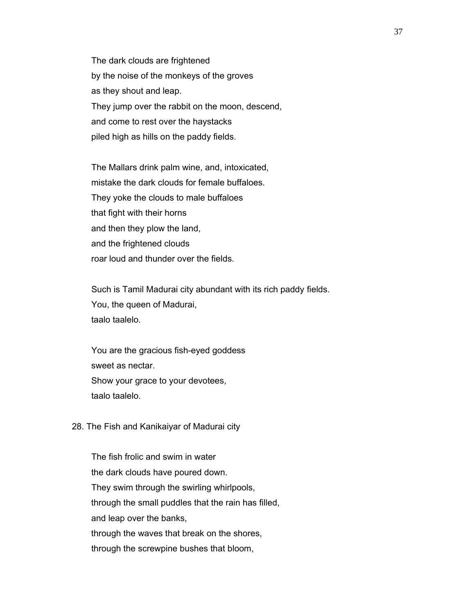The dark clouds are frightened by the noise of the monkeys of the groves as they shout and leap. They jump over the rabbit on the moon, descend, and come to rest over the haystacks piled high as hills on the paddy fields.

 The Mallars drink palm wine, and, intoxicated, mistake the dark clouds for female buffaloes. They yoke the clouds to male buffaloes that fight with their horns and then they plow the land, and the frightened clouds roar loud and thunder over the fields.

 Such is Tamil Madurai city abundant with its rich paddy fields. You, the queen of Madurai, taalo taalelo.

 You are the gracious fish-eyed goddess sweet as nectar. Show your grace to your devotees, taalo taalelo.

28. The Fish and Kanikaiyar of Madurai city

 The fish frolic and swim in water the dark clouds have poured down. They swim through the swirling whirlpools, through the small puddles that the rain has filled, and leap over the banks, through the waves that break on the shores, through the screwpine bushes that bloom,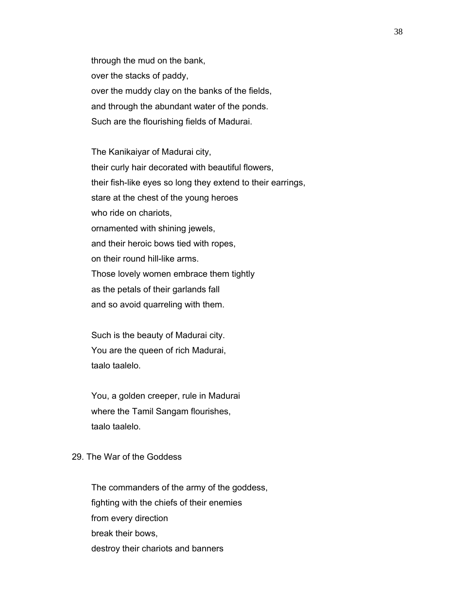through the mud on the bank, over the stacks of paddy, over the muddy clay on the banks of the fields, and through the abundant water of the ponds. Such are the flourishing fields of Madurai.

 The Kanikaiyar of Madurai city, their curly hair decorated with beautiful flowers, their fish-like eyes so long they extend to their earrings, stare at the chest of the young heroes who ride on chariots, ornamented with shining jewels, and their heroic bows tied with ropes, on their round hill-like arms. Those lovely women embrace them tightly as the petals of their garlands fall and so avoid quarreling with them.

 Such is the beauty of Madurai city. You are the queen of rich Madurai, taalo taalelo.

 You, a golden creeper, rule in Madurai where the Tamil Sangam flourishes, taalo taalelo.

## 29. The War of the Goddess

 The commanders of the army of the goddess, fighting with the chiefs of their enemies from every direction break their bows, destroy their chariots and banners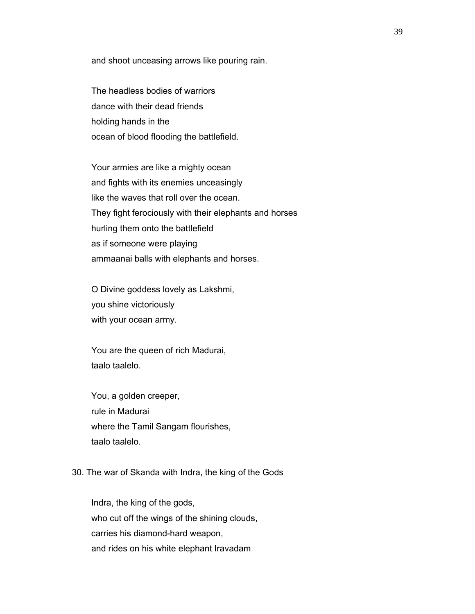and shoot unceasing arrows like pouring rain.

 The headless bodies of warriors dance with their dead friends holding hands in the ocean of blood flooding the battlefield.

 Your armies are like a mighty ocean and fights with its enemies unceasingly like the waves that roll over the ocean. They fight ferociously with their elephants and horses hurling them onto the battlefield as if someone were playing ammaanai balls with elephants and horses.

 O Divine goddess lovely as Lakshmi, you shine victoriously with your ocean army.

 You are the queen of rich Madurai, taalo taalelo.

 You, a golden creeper, rule in Madurai where the Tamil Sangam flourishes, taalo taalelo.

### 30. The war of Skanda with Indra, the king of the Gods

 Indra, the king of the gods, who cut off the wings of the shining clouds, carries his diamond-hard weapon, and rides on his white elephant Iravadam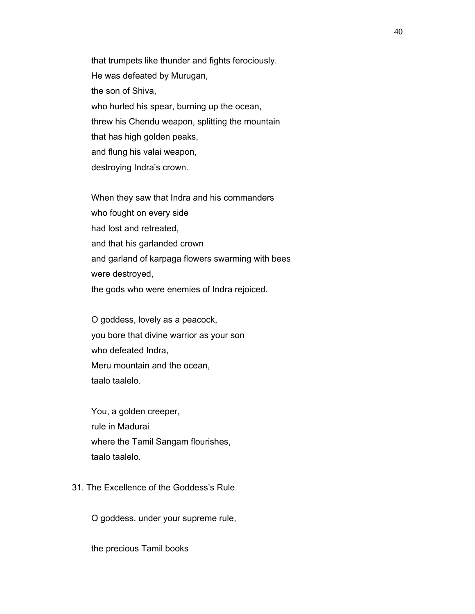that trumpets like thunder and fights ferociously. He was defeated by Murugan, the son of Shiva, who hurled his spear, burning up the ocean, threw his Chendu weapon, splitting the mountain that has high golden peaks, and flung his valai weapon, destroying Indra's crown.

 When they saw that Indra and his commanders who fought on every side had lost and retreated, and that his garlanded crown and garland of karpaga flowers swarming with bees were destroyed, the gods who were enemies of Indra rejoiced.

 O goddess, lovely as a peacock, you bore that divine warrior as your son who defeated Indra, Meru mountain and the ocean, taalo taalelo.

 You, a golden creeper, rule in Madurai where the Tamil Sangam flourishes, taalo taalelo.

# 31. The Excellence of the Goddess's Rule

O goddess, under your supreme rule,

the precious Tamil books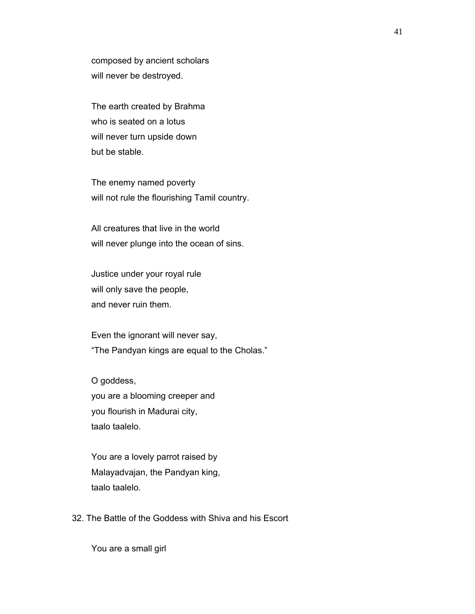composed by ancient scholars will never be destroyed.

 The earth created by Brahma who is seated on a lotus will never turn upside down but be stable.

 The enemy named poverty will not rule the flourishing Tamil country.

 All creatures that live in the world will never plunge into the ocean of sins.

 Justice under your royal rule will only save the people, and never ruin them.

 Even the ignorant will never say, "The Pandyan kings are equal to the Cholas."

 O goddess, you are a blooming creeper and you flourish in Madurai city, taalo taalelo.

 You are a lovely parrot raised by Malayadvajan, the Pandyan king, taalo taalelo.

32. The Battle of the Goddess with Shiva and his Escort

You are a small girl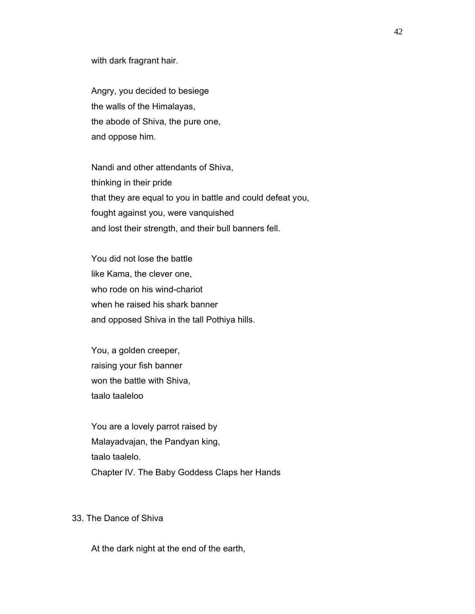with dark fragrant hair.

 Angry, you decided to besiege the walls of the Himalayas, the abode of Shiva, the pure one, and oppose him.

 Nandi and other attendants of Shiva, thinking in their pride that they are equal to you in battle and could defeat you, fought against you, were vanquished and lost their strength, and their bull banners fell.

 You did not lose the battle like Kama, the clever one, who rode on his wind-chariot when he raised his shark banner and opposed Shiva in the tall Pothiya hills.

 You, a golden creeper, raising your fish banner won the battle with Shiva, taalo taaleloo

 You are a lovely parrot raised by Malayadvajan, the Pandyan king, taalo taalelo. Chapter IV. The Baby Goddess Claps her Hands

# 33. The Dance of Shiva

At the dark night at the end of the earth,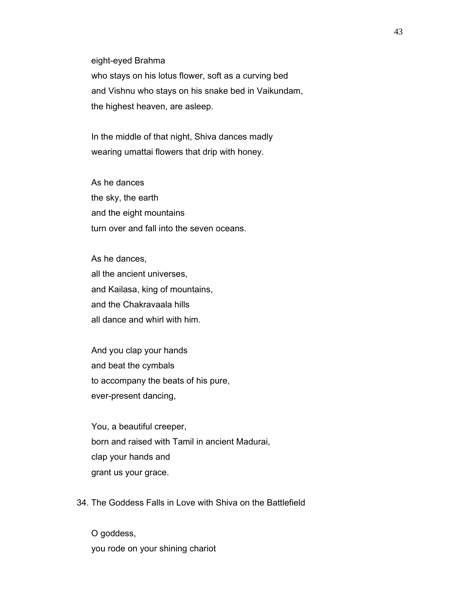eight-eyed Brahma

 who stays on his lotus flower, soft as a curving bed and Vishnu who stays on his snake bed in Vaikundam, the highest heaven, are asleep.

 In the middle of that night, Shiva dances madly wearing umattai flowers that drip with honey.

 As he dances the sky, the earth and the eight mountains turn over and fall into the seven oceans.

 As he dances, all the ancient universes, and Kailasa, king of mountains, and the Chakravaala hills all dance and whirl with him.

 And you clap your hands and beat the cymbals to accompany the beats of his pure, ever-present dancing,

 You, a beautiful creeper, born and raised with Tamil in ancient Madurai, clap your hands and grant us your grace.

34. The Goddess Falls in Love with Shiva on the Battlefield

 O goddess, you rode on your shining chariot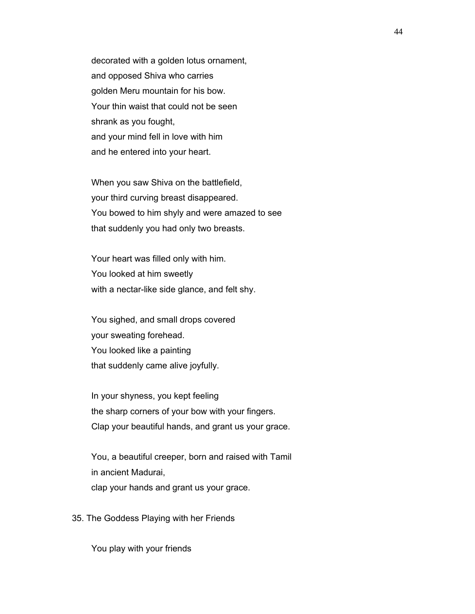decorated with a golden lotus ornament, and opposed Shiva who carries golden Meru mountain for his bow. Your thin waist that could not be seen shrank as you fought, and your mind fell in love with him and he entered into your heart.

 When you saw Shiva on the battlefield, your third curving breast disappeared. You bowed to him shyly and were amazed to see that suddenly you had only two breasts.

 Your heart was filled only with him. You looked at him sweetly with a nectar-like side glance, and felt shy.

 You sighed, and small drops covered your sweating forehead. You looked like a painting that suddenly came alive joyfully.

 In your shyness, you kept feeling the sharp corners of your bow with your fingers. Clap your beautiful hands, and grant us your grace.

 You, a beautiful creeper, born and raised with Tamil in ancient Madurai, clap your hands and grant us your grace.

35. The Goddess Playing with her Friends

You play with your friends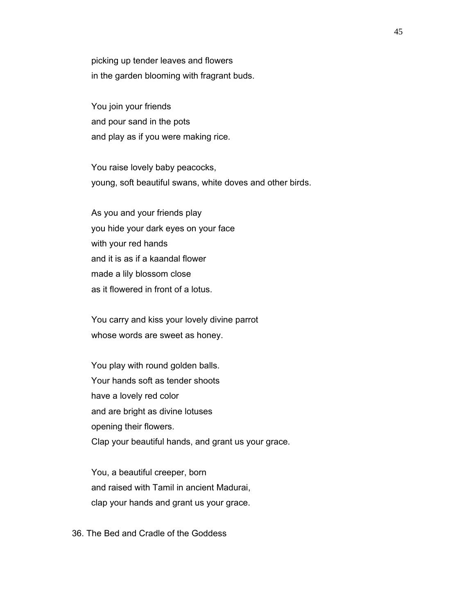picking up tender leaves and flowers in the garden blooming with fragrant buds.

 You join your friends and pour sand in the pots and play as if you were making rice.

 You raise lovely baby peacocks, young, soft beautiful swans, white doves and other birds.

 As you and your friends play you hide your dark eyes on your face with your red hands and it is as if a kaandal flower made a lily blossom close as it flowered in front of a lotus.

 You carry and kiss your lovely divine parrot whose words are sweet as honey.

 You play with round golden balls. Your hands soft as tender shoots have a lovely red color and are bright as divine lotuses opening their flowers. Clap your beautiful hands, and grant us your grace.

 You, a beautiful creeper, born and raised with Tamil in ancient Madurai, clap your hands and grant us your grace.

36. The Bed and Cradle of the Goddess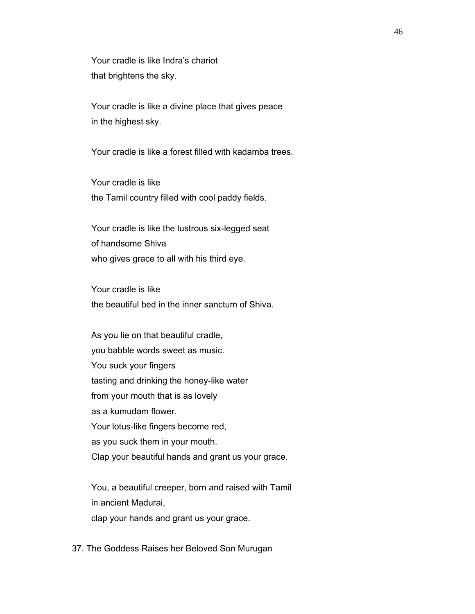Your cradle is like Indra's chariot that brightens the sky.

 Your cradle is like a divine place that gives peace in the highest sky.

Your cradle is like a forest filled with kadamba trees.

 Your cradle is like the Tamil country filled with cool paddy fields.

 Your cradle is like the lustrous six-legged seat of handsome Shiva who gives grace to all with his third eye.

 Your cradle is like the beautiful bed in the inner sanctum of Shiva.

 As you lie on that beautiful cradle, you babble words sweet as music. You suck your fingers tasting and drinking the honey-like water from your mouth that is as lovely as a kumudam flower. Your lotus-like fingers become red, as you suck them in your mouth. Clap your beautiful hands and grant us your grace.

 You, a beautiful creeper, born and raised with Tamil in ancient Madurai, clap your hands and grant us your grace.

37. The Goddess Raises her Beloved Son Murugan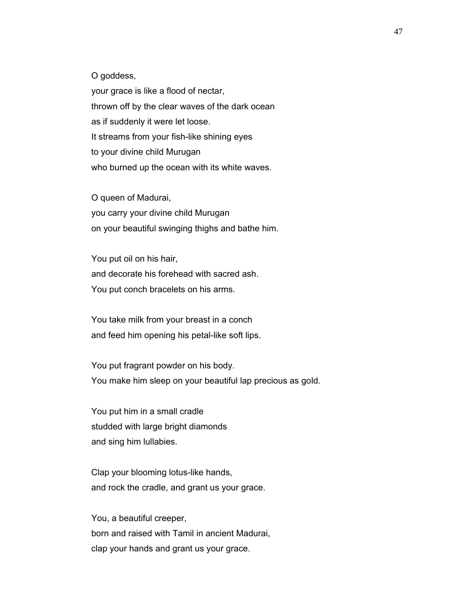O goddess,

 your grace is like a flood of nectar, thrown off by the clear waves of the dark ocean as if suddenly it were let loose. It streams from your fish-like shining eyes to your divine child Murugan who burned up the ocean with its white waves.

 O queen of Madurai, you carry your divine child Murugan on your beautiful swinging thighs and bathe him.

 You put oil on his hair, and decorate his forehead with sacred ash. You put conch bracelets on his arms.

 You take milk from your breast in a conch and feed him opening his petal-like soft lips.

 You put fragrant powder on his body. You make him sleep on your beautiful lap precious as gold.

 You put him in a small cradle studded with large bright diamonds and sing him lullabies.

 Clap your blooming lotus-like hands, and rock the cradle, and grant us your grace.

 You, a beautiful creeper, born and raised with Tamil in ancient Madurai, clap your hands and grant us your grace.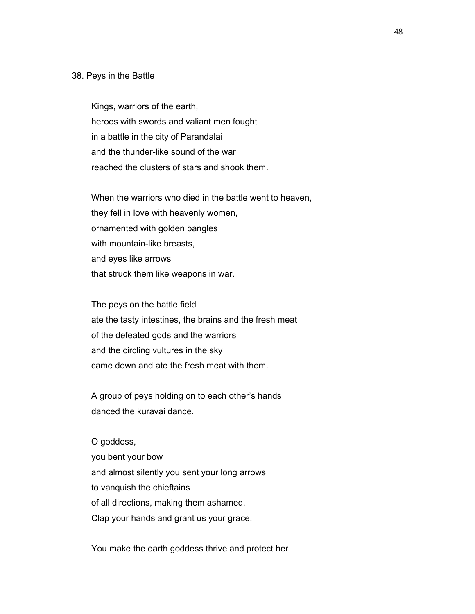### 38. Peys in the Battle

 Kings, warriors of the earth, heroes with swords and valiant men fought in a battle in the city of Parandalai and the thunder-like sound of the war reached the clusters of stars and shook them.

 When the warriors who died in the battle went to heaven, they fell in love with heavenly women, ornamented with golden bangles with mountain-like breasts, and eyes like arrows that struck them like weapons in war.

 The peys on the battle field ate the tasty intestines, the brains and the fresh meat of the defeated gods and the warriors and the circling vultures in the sky came down and ate the fresh meat with them.

 A group of peys holding on to each other's hands danced the kuravai dance.

 O goddess, you bent your bow and almost silently you sent your long arrows to vanquish the chieftains of all directions, making them ashamed. Clap your hands and grant us your grace.

You make the earth goddess thrive and protect her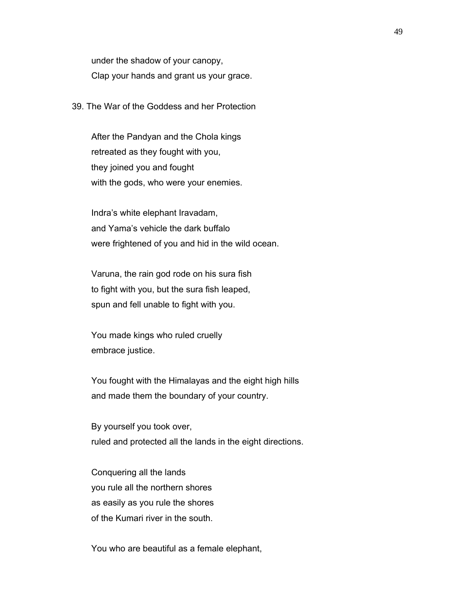under the shadow of your canopy, Clap your hands and grant us your grace.

39. The War of the Goddess and her Protection

 After the Pandyan and the Chola kings retreated as they fought with you, they joined you and fought with the gods, who were your enemies.

 Indra's white elephant Iravadam, and Yama's vehicle the dark buffalo were frightened of you and hid in the wild ocean.

 Varuna, the rain god rode on his sura fish to fight with you, but the sura fish leaped, spun and fell unable to fight with you.

 You made kings who ruled cruelly embrace justice.

 You fought with the Himalayas and the eight high hills and made them the boundary of your country.

 By yourself you took over, ruled and protected all the lands in the eight directions.

 Conquering all the lands you rule all the northern shores as easily as you rule the shores of the Kumari river in the south.

You who are beautiful as a female elephant,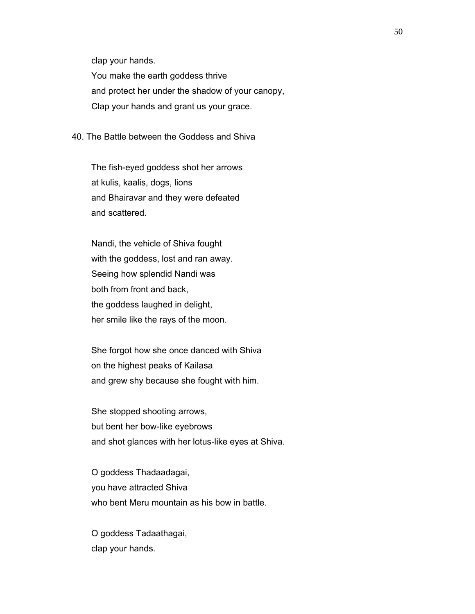clap your hands.

 You make the earth goddess thrive and protect her under the shadow of your canopy, Clap your hands and grant us your grace.

40. The Battle between the Goddess and Shiva

 The fish-eyed goddess shot her arrows at kulis, kaalis, dogs, lions and Bhairavar and they were defeated and scattered.

 Nandi, the vehicle of Shiva fought with the goddess, lost and ran away. Seeing how splendid Nandi was both from front and back, the goddess laughed in delight, her smile like the rays of the moon.

 She forgot how she once danced with Shiva on the highest peaks of Kailasa and grew shy because she fought with him.

 She stopped shooting arrows, but bent her bow-like eyebrows and shot glances with her lotus-like eyes at Shiva.

 O goddess Thadaadagai, you have attracted Shiva who bent Meru mountain as his bow in battle.

 O goddess Tadaathagai, clap your hands.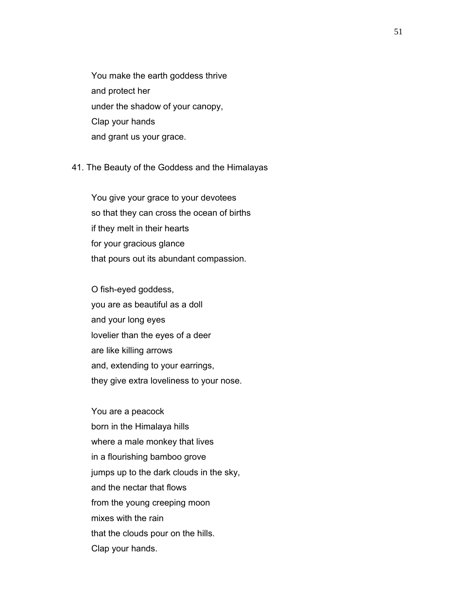You make the earth goddess thrive and protect her under the shadow of your canopy, Clap your hands and grant us your grace.

41. The Beauty of the Goddess and the Himalayas

 You give your grace to your devotees so that they can cross the ocean of births if they melt in their hearts for your gracious glance that pours out its abundant compassion.

 O fish-eyed goddess, you are as beautiful as a doll and your long eyes lovelier than the eyes of a deer are like killing arrows and, extending to your earrings, they give extra loveliness to your nose.

 You are a peacock born in the Himalaya hills where a male monkey that lives in a flourishing bamboo grove jumps up to the dark clouds in the sky, and the nectar that flows from the young creeping moon mixes with the rain that the clouds pour on the hills. Clap your hands.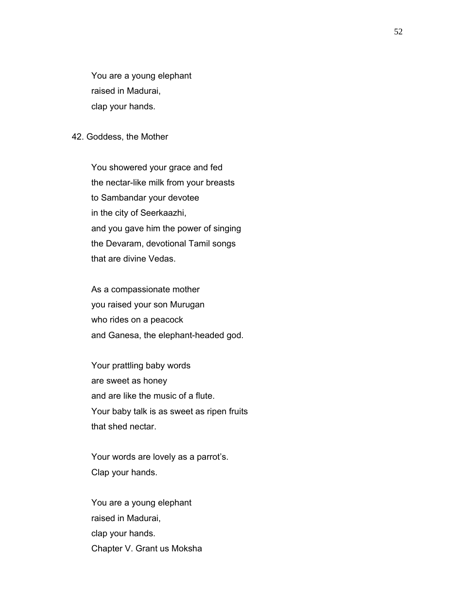You are a young elephant raised in Madurai, clap your hands.

#### 42. Goddess, the Mother

 You showered your grace and fed the nectar-like milk from your breasts to Sambandar your devotee in the city of Seerkaazhi, and you gave him the power of singing the Devaram, devotional Tamil songs that are divine Vedas.

 As a compassionate mother you raised your son Murugan who rides on a peacock and Ganesa, the elephant-headed god.

 Your prattling baby words are sweet as honey and are like the music of a flute. Your baby talk is as sweet as ripen fruits that shed nectar.

 Your words are lovely as a parrot's. Clap your hands.

 You are a young elephant raised in Madurai, clap your hands. Chapter V. Grant us Moksha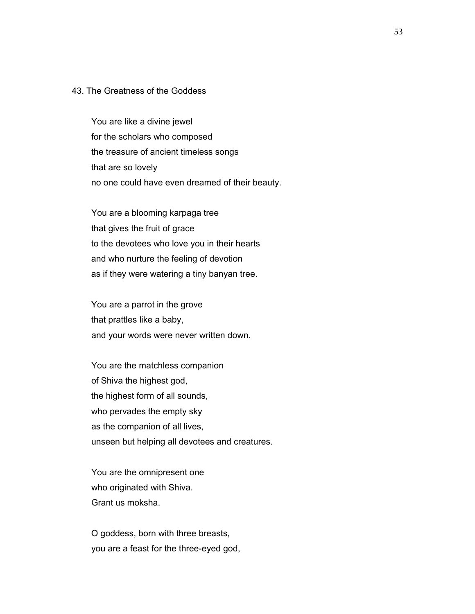## 43. The Greatness of the Goddess

 You are like a divine jewel for the scholars who composed the treasure of ancient timeless songs that are so lovely no one could have even dreamed of their beauty.

 You are a blooming karpaga tree that gives the fruit of grace to the devotees who love you in their hearts and who nurture the feeling of devotion as if they were watering a tiny banyan tree.

 You are a parrot in the grove that prattles like a baby, and your words were never written down.

 You are the matchless companion of Shiva the highest god, the highest form of all sounds, who pervades the empty sky as the companion of all lives, unseen but helping all devotees and creatures.

 You are the omnipresent one who originated with Shiva. Grant us moksha.

 O goddess, born with three breasts, you are a feast for the three-eyed god,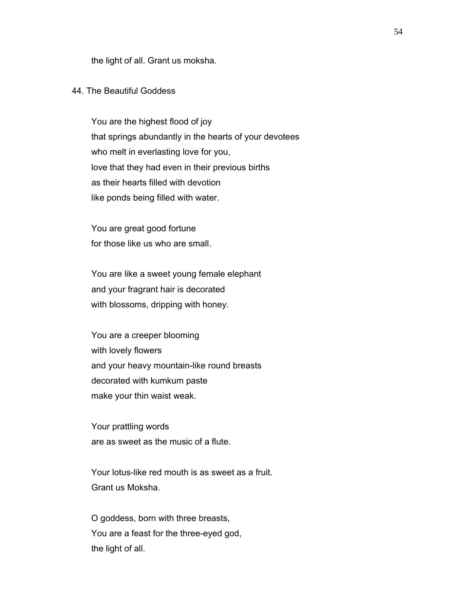the light of all. Grant us moksha.

## 44. The Beautiful Goddess

 You are the highest flood of joy that springs abundantly in the hearts of your devotees who melt in everlasting love for you, love that they had even in their previous births as their hearts filled with devotion like ponds being filled with water.

 You are great good fortune for those like us who are small.

 You are like a sweet young female elephant and your fragrant hair is decorated with blossoms, dripping with honey.

 You are a creeper blooming with lovely flowers and your heavy mountain-like round breasts decorated with kumkum paste make your thin waist weak.

 Your prattling words are as sweet as the music of a flute.

 Your lotus-like red mouth is as sweet as a fruit. Grant us Moksha.

 O goddess, born with three breasts, You are a feast for the three-eyed god, the light of all.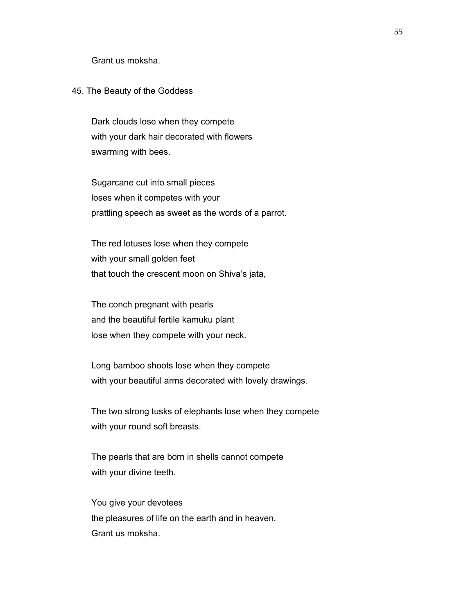Grant us moksha.

### 45. The Beauty of the Goddess

 Dark clouds lose when they compete with your dark hair decorated with flowers swarming with bees.

 Sugarcane cut into small pieces loses when it competes with your prattling speech as sweet as the words of a parrot.

 The red lotuses lose when they compete with your small golden feet that touch the crescent moon on Shiva's jata,

 The conch pregnant with pearls and the beautiful fertile kamuku plant lose when they compete with your neck.

 Long bamboo shoots lose when they compete with your beautiful arms decorated with lovely drawings.

 The two strong tusks of elephants lose when they compete with your round soft breasts.

 The pearls that are born in shells cannot compete with your divine teeth.

 You give your devotees the pleasures of life on the earth and in heaven. Grant us moksha.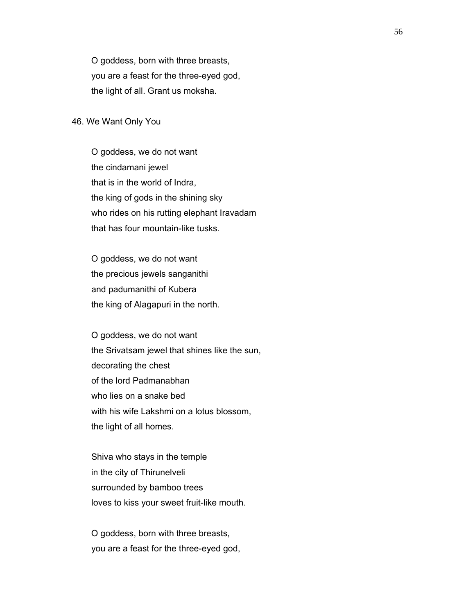O goddess, born with three breasts, you are a feast for the three-eyed god, the light of all. Grant us moksha.

#### 46. We Want Only You

 O goddess, we do not want the cindamani jewel that is in the world of Indra, the king of gods in the shining sky who rides on his rutting elephant Iravadam that has four mountain-like tusks.

 O goddess, we do not want the precious jewels sanganithi and padumanithi of Kubera the king of Alagapuri in the north.

 O goddess, we do not want the Srivatsam jewel that shines like the sun, decorating the chest of the lord Padmanabhan who lies on a snake bed with his wife Lakshmi on a lotus blossom, the light of all homes.

 Shiva who stays in the temple in the city of Thirunelveli surrounded by bamboo trees loves to kiss your sweet fruit-like mouth.

 O goddess, born with three breasts, you are a feast for the three-eyed god,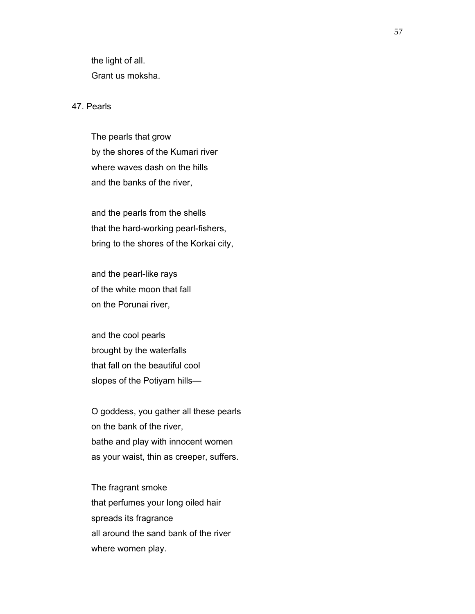the light of all. Grant us moksha.

### 47. Pearls

 The pearls that grow by the shores of the Kumari river where waves dash on the hills and the banks of the river,

 and the pearls from the shells that the hard-working pearl-fishers, bring to the shores of the Korkai city,

 and the pearl-like rays of the white moon that fall on the Porunai river,

 and the cool pearls brought by the waterfalls that fall on the beautiful cool slopes of the Potiyam hills—

 O goddess, you gather all these pearls on the bank of the river, bathe and play with innocent women as your waist, thin as creeper, suffers.

 The fragrant smoke that perfumes your long oiled hair spreads its fragrance all around the sand bank of the river where women play.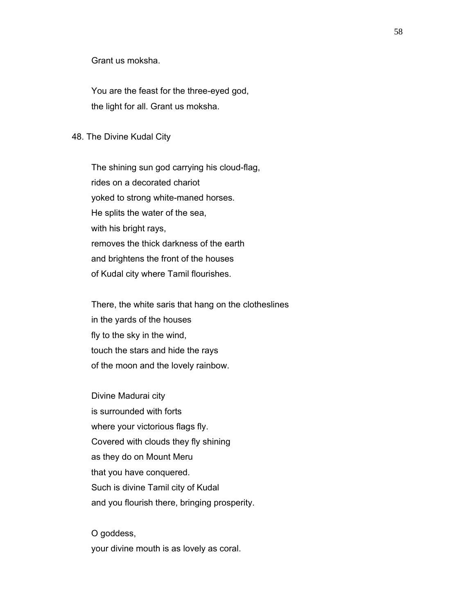Grant us moksha.

 You are the feast for the three-eyed god, the light for all. Grant us moksha.

#### 48. The Divine Kudal City

 The shining sun god carrying his cloud-flag, rides on a decorated chariot yoked to strong white-maned horses. He splits the water of the sea, with his bright rays, removes the thick darkness of the earth and brightens the front of the houses of Kudal city where Tamil flourishes.

 There, the white saris that hang on the clotheslines in the yards of the houses fly to the sky in the wind, touch the stars and hide the rays of the moon and the lovely rainbow.

 Divine Madurai city is surrounded with forts where your victorious flags fly. Covered with clouds they fly shining as they do on Mount Meru that you have conquered. Such is divine Tamil city of Kudal and you flourish there, bringing prosperity.

 O goddess, your divine mouth is as lovely as coral.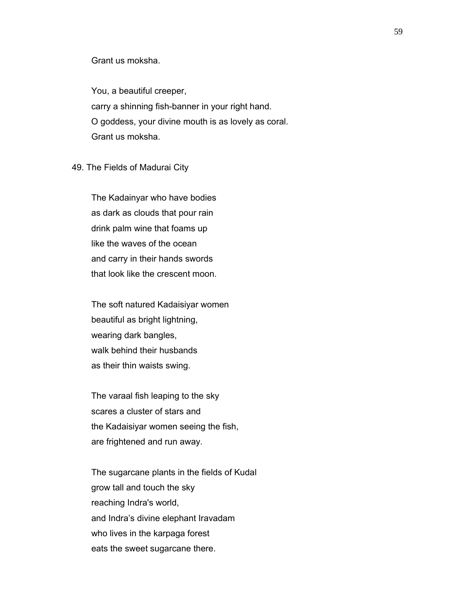### Grant us moksha.

 You, a beautiful creeper, carry a shinning fish-banner in your right hand. O goddess, your divine mouth is as lovely as coral. Grant us moksha.

#### 49. The Fields of Madurai City

 The Kadainyar who have bodies as dark as clouds that pour rain drink palm wine that foams up like the waves of the ocean and carry in their hands swords that look like the crescent moon.

 The soft natured Kadaisiyar women beautiful as bright lightning, wearing dark bangles, walk behind their husbands as their thin waists swing.

 The varaal fish leaping to the sky scares a cluster of stars and the Kadaisiyar women seeing the fish, are frightened and run away.

 The sugarcane plants in the fields of Kudal grow tall and touch the sky reaching Indra's world, and Indra's divine elephant Iravadam who lives in the karpaga forest eats the sweet sugarcane there.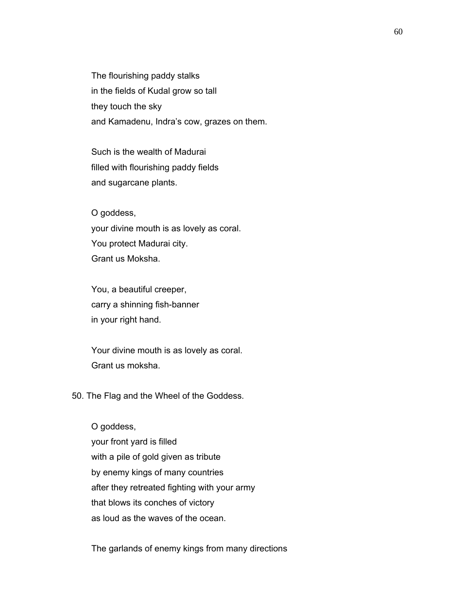The flourishing paddy stalks in the fields of Kudal grow so tall they touch the sky and Kamadenu, Indra's cow, grazes on them.

 Such is the wealth of Madurai filled with flourishing paddy fields and sugarcane plants.

 O goddess, your divine mouth is as lovely as coral. You protect Madurai city. Grant us Moksha.

 You, a beautiful creeper, carry a shinning fish-banner in your right hand.

 Your divine mouth is as lovely as coral. Grant us moksha.

50. The Flag and the Wheel of the Goddess.

 O goddess, your front yard is filled with a pile of gold given as tribute by enemy kings of many countries after they retreated fighting with your army that blows its conches of victory as loud as the waves of the ocean.

The garlands of enemy kings from many directions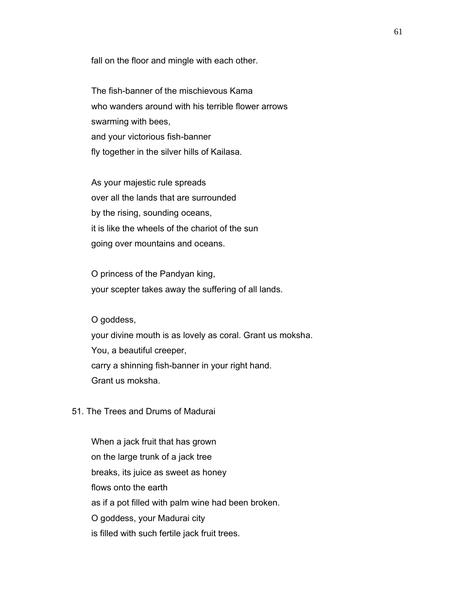fall on the floor and mingle with each other.

 The fish-banner of the mischievous Kama who wanders around with his terrible flower arrows swarming with bees, and your victorious fish-banner fly together in the silver hills of Kailasa.

 As your majestic rule spreads over all the lands that are surrounded by the rising, sounding oceans, it is like the wheels of the chariot of the sun going over mountains and oceans.

 O princess of the Pandyan king, your scepter takes away the suffering of all lands.

O goddess,

 your divine mouth is as lovely as coral. Grant us moksha. You, a beautiful creeper, carry a shinning fish-banner in your right hand. Grant us moksha.

51. The Trees and Drums of Madurai

 When a jack fruit that has grown on the large trunk of a jack tree breaks, its juice as sweet as honey flows onto the earth as if a pot filled with palm wine had been broken. O goddess, your Madurai city is filled with such fertile jack fruit trees.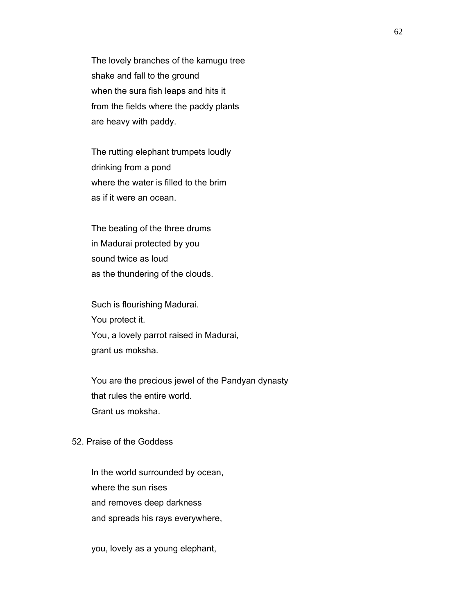The lovely branches of the kamugu tree shake and fall to the ground when the sura fish leaps and hits it from the fields where the paddy plants are heavy with paddy.

 The rutting elephant trumpets loudly drinking from a pond where the water is filled to the brim as if it were an ocean.

 The beating of the three drums in Madurai protected by you sound twice as loud as the thundering of the clouds.

 Such is flourishing Madurai. You protect it. You, a lovely parrot raised in Madurai, grant us moksha.

 You are the precious jewel of the Pandyan dynasty that rules the entire world. Grant us moksha.

# 52. Praise of the Goddess

 In the world surrounded by ocean, where the sun rises and removes deep darkness and spreads his rays everywhere,

you, lovely as a young elephant,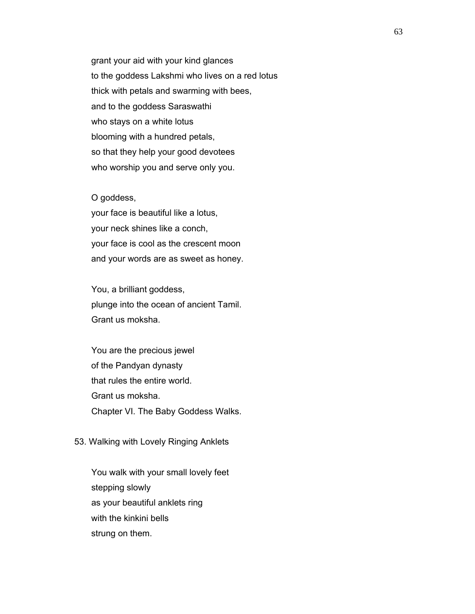grant your aid with your kind glances to the goddess Lakshmi who lives on a red lotus thick with petals and swarming with bees, and to the goddess Saraswathi who stays on a white lotus blooming with a hundred petals, so that they help your good devotees who worship you and serve only you.

#### O goddess,

 your face is beautiful like a lotus, your neck shines like a conch, your face is cool as the crescent moon and your words are as sweet as honey.

 You, a brilliant goddess, plunge into the ocean of ancient Tamil. Grant us moksha.

 You are the precious jewel of the Pandyan dynasty that rules the entire world. Grant us moksha. Chapter VI. The Baby Goddess Walks.

## 53. Walking with Lovely Ringing Anklets

 You walk with your small lovely feet stepping slowly as your beautiful anklets ring with the kinkini bells strung on them.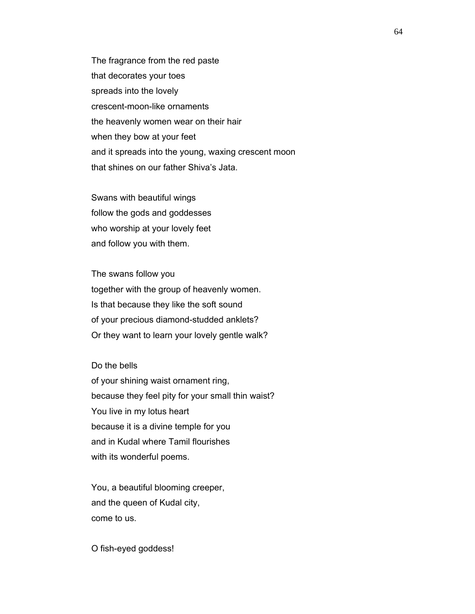The fragrance from the red paste that decorates your toes spreads into the lovely crescent-moon-like ornaments the heavenly women wear on their hair when they bow at your feet and it spreads into the young, waxing crescent moon that shines on our father Shiva's Jata.

 Swans with beautiful wings follow the gods and goddesses who worship at your lovely feet and follow you with them.

 The swans follow you together with the group of heavenly women. Is that because they like the soft sound of your precious diamond-studded anklets? Or they want to learn your lovely gentle walk?

 Do the bells of your shining waist ornament ring, because they feel pity for your small thin waist? You live in my lotus heart because it is a divine temple for you and in Kudal where Tamil flourishes with its wonderful poems.

 You, a beautiful blooming creeper, and the queen of Kudal city, come to us.

O fish-eyed goddess!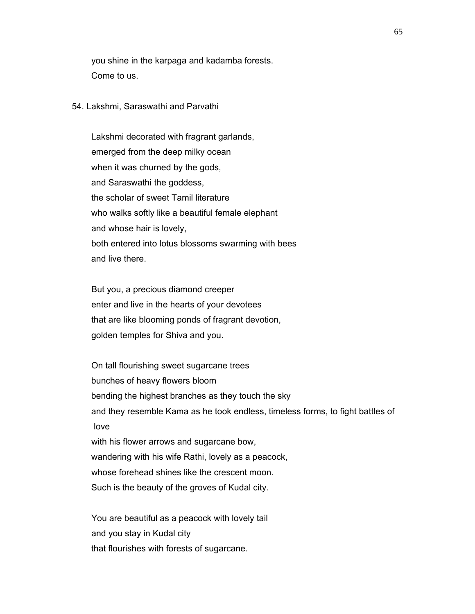you shine in the karpaga and kadamba forests. Come to us.

54. Lakshmi, Saraswathi and Parvathi

 Lakshmi decorated with fragrant garlands, emerged from the deep milky ocean when it was churned by the gods, and Saraswathi the goddess, the scholar of sweet Tamil literature who walks softly like a beautiful female elephant and whose hair is lovely, both entered into lotus blossoms swarming with bees and live there.

 But you, a precious diamond creeper enter and live in the hearts of your devotees that are like blooming ponds of fragrant devotion, golden temples for Shiva and you.

 On tall flourishing sweet sugarcane trees bunches of heavy flowers bloom bending the highest branches as they touch the sky and they resemble Kama as he took endless, timeless forms, to fight battles of love with his flower arrows and sugarcane bow, wandering with his wife Rathi, lovely as a peacock, whose forehead shines like the crescent moon. Such is the beauty of the groves of Kudal city.

 You are beautiful as a peacock with lovely tail and you stay in Kudal city that flourishes with forests of sugarcane.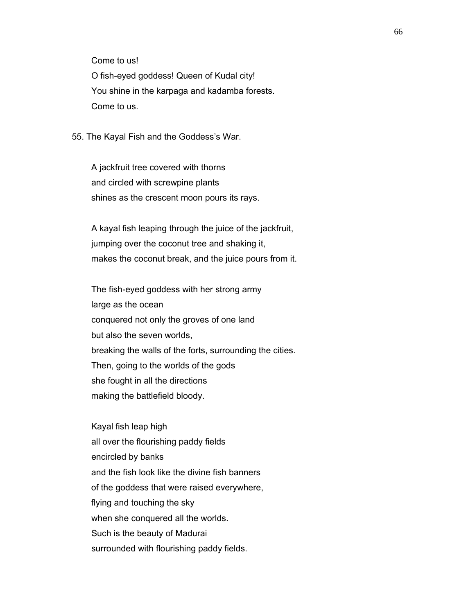Come to us!

 O fish-eyed goddess! Queen of Kudal city! You shine in the karpaga and kadamba forests. Come to us.

55. The Kayal Fish and the Goddess's War.

 A jackfruit tree covered with thorns and circled with screwpine plants shines as the crescent moon pours its rays.

 A kayal fish leaping through the juice of the jackfruit, jumping over the coconut tree and shaking it, makes the coconut break, and the juice pours from it.

 The fish-eyed goddess with her strong army large as the ocean conquered not only the groves of one land but also the seven worlds, breaking the walls of the forts, surrounding the cities. Then, going to the worlds of the gods she fought in all the directions making the battlefield bloody.

 Kayal fish leap high all over the flourishing paddy fields encircled by banks and the fish look like the divine fish banners of the goddess that were raised everywhere, flying and touching the sky when she conquered all the worlds. Such is the beauty of Madurai surrounded with flourishing paddy fields.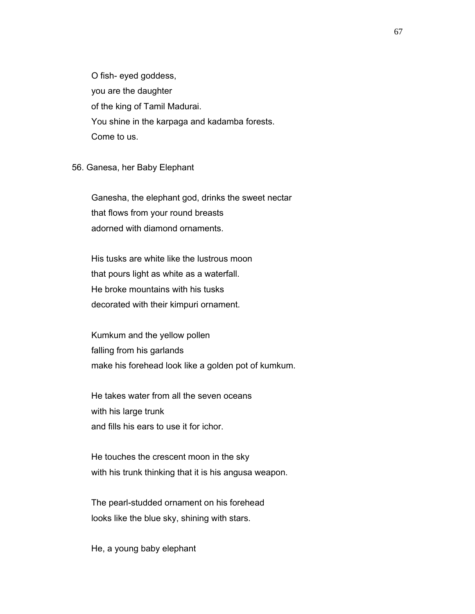O fish- eyed goddess, you are the daughter of the king of Tamil Madurai. You shine in the karpaga and kadamba forests. Come to us.

56. Ganesa, her Baby Elephant

 Ganesha, the elephant god, drinks the sweet nectar that flows from your round breasts adorned with diamond ornaments.

 His tusks are white like the lustrous moon that pours light as white as a waterfall. He broke mountains with his tusks decorated with their kimpuri ornament.

 Kumkum and the yellow pollen falling from his garlands make his forehead look like a golden pot of kumkum.

 He takes water from all the seven oceans with his large trunk and fills his ears to use it for ichor.

 He touches the crescent moon in the sky with his trunk thinking that it is his angusa weapon.

 The pearl-studded ornament on his forehead looks like the blue sky, shining with stars.

He, a young baby elephant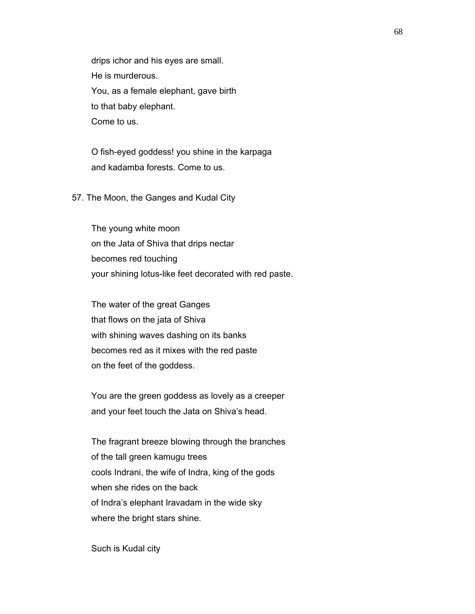drips ichor and his eyes are small. He is murderous. You, as a female elephant, gave birth to that baby elephant. Come to us.

 O fish-eyed goddess! you shine in the karpaga and kadamba forests. Come to us.

## 57. The Moon, the Ganges and Kudal City

 The young white moon on the Jata of Shiva that drips nectar becomes red touching your shining lotus-like feet decorated with red paste.

 The water of the great Ganges that flows on the jata of Shiva with shining waves dashing on its banks becomes red as it mixes with the red paste on the feet of the goddess.

 You are the green goddess as lovely as a creeper and your feet touch the Jata on Shiva's head.

 The fragrant breeze blowing through the branches of the tall green kamugu trees cools Indrani, the wife of Indra, king of the gods when she rides on the back of Indra's elephant Iravadam in the wide sky where the bright stars shine.

Such is Kudal city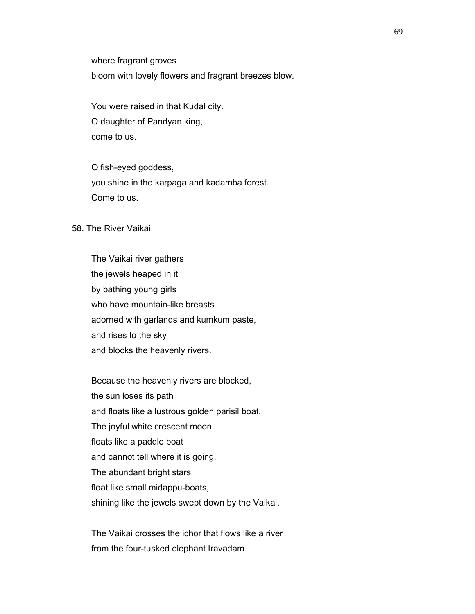where fragrant groves

bloom with lovely flowers and fragrant breezes blow.

 You were raised in that Kudal city. O daughter of Pandyan king, come to us.

 O fish-eyed goddess, you shine in the karpaga and kadamba forest. Come to us.

58. The River Vaikai

 The Vaikai river gathers the jewels heaped in it by bathing young girls who have mountain-like breasts adorned with garlands and kumkum paste, and rises to the sky and blocks the heavenly rivers.

 Because the heavenly rivers are blocked, the sun loses its path and floats like a lustrous golden parisil boat. The joyful white crescent moon floats like a paddle boat and cannot tell where it is going. The abundant bright stars float like small midappu-boats, shining like the jewels swept down by the Vaikai.

 The Vaikai crosses the ichor that flows like a river from the four-tusked elephant Iravadam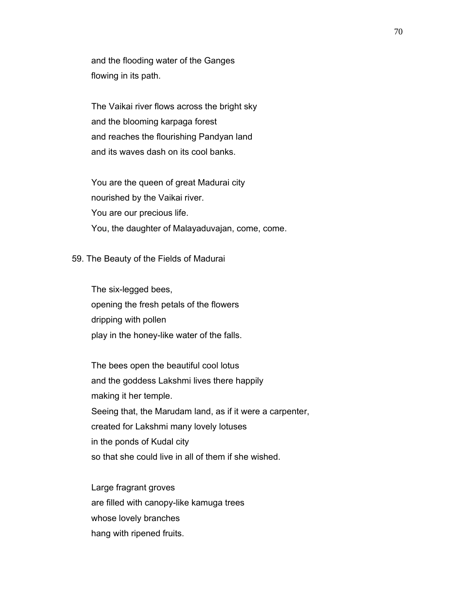and the flooding water of the Ganges flowing in its path.

 The Vaikai river flows across the bright sky and the blooming karpaga forest and reaches the flourishing Pandyan land and its waves dash on its cool banks.

 You are the queen of great Madurai city nourished by the Vaikai river. You are our precious life. You, the daughter of Malayaduvajan, come, come.

#### 59. The Beauty of the Fields of Madurai

 The six-legged bees, opening the fresh petals of the flowers dripping with pollen play in the honey-like water of the falls.

 The bees open the beautiful cool lotus and the goddess Lakshmi lives there happily making it her temple. Seeing that, the Marudam land, as if it were a carpenter, created for Lakshmi many lovely lotuses in the ponds of Kudal city so that she could live in all of them if she wished.

 Large fragrant groves are filled with canopy-like kamuga trees whose lovely branches hang with ripened fruits.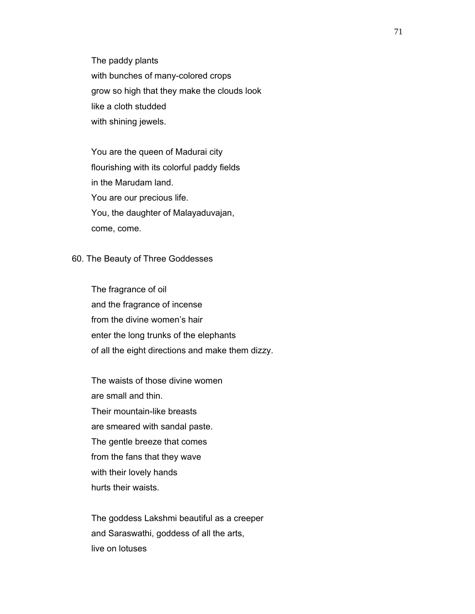The paddy plants with bunches of many-colored crops grow so high that they make the clouds look like a cloth studded with shining jewels.

 You are the queen of Madurai city flourishing with its colorful paddy fields in the Marudam land. You are our precious life. You, the daughter of Malayaduvajan, come, come.

### 60. The Beauty of Three Goddesses

 The fragrance of oil and the fragrance of incense from the divine women's hair enter the long trunks of the elephants of all the eight directions and make them dizzy.

 The waists of those divine women are small and thin. Their mountain-like breasts are smeared with sandal paste. The gentle breeze that comes from the fans that they wave with their lovely hands hurts their waists.

 The goddess Lakshmi beautiful as a creeper and Saraswathi, goddess of all the arts, live on lotuses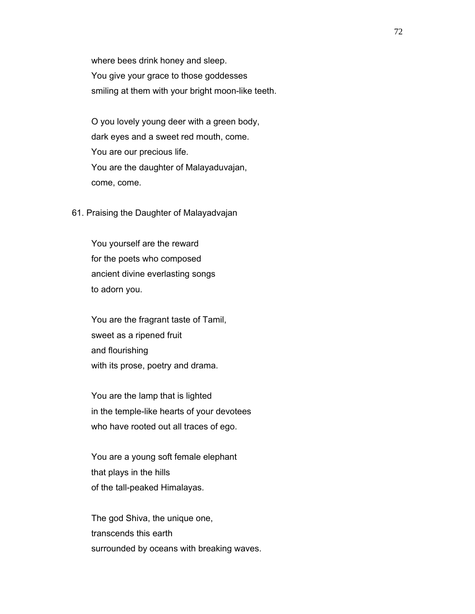where bees drink honey and sleep. You give your grace to those goddesses smiling at them with your bright moon-like teeth.

 O you lovely young deer with a green body, dark eyes and a sweet red mouth, come. You are our precious life. You are the daughter of Malayaduvajan, come, come.

61. Praising the Daughter of Malayadvajan

 You yourself are the reward for the poets who composed ancient divine everlasting songs to adorn you.

 You are the fragrant taste of Tamil, sweet as a ripened fruit and flourishing with its prose, poetry and drama.

 You are the lamp that is lighted in the temple-like hearts of your devotees who have rooted out all traces of ego.

 You are a young soft female elephant that plays in the hills of the tall-peaked Himalayas.

 The god Shiva, the unique one, transcends this earth surrounded by oceans with breaking waves.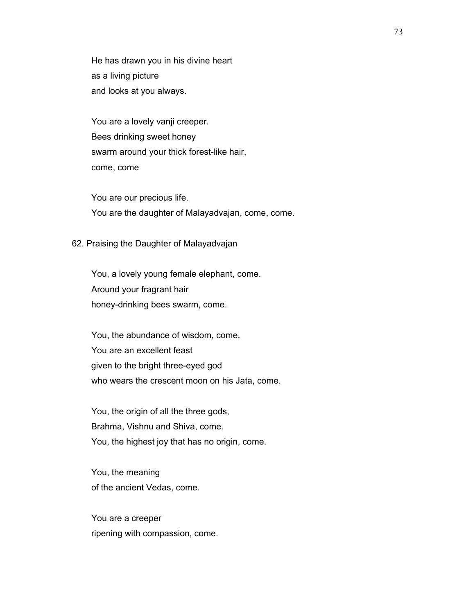He has drawn you in his divine heart as a living picture and looks at you always.

 You are a lovely vanji creeper. Bees drinking sweet honey swarm around your thick forest-like hair, come, come

 You are our precious life. You are the daughter of Malayadvajan, come, come.

#### 62. Praising the Daughter of Malayadvajan

 You, a lovely young female elephant, come. Around your fragrant hair honey-drinking bees swarm, come.

 You, the abundance of wisdom, come. You are an excellent feast given to the bright three-eyed god who wears the crescent moon on his Jata, come.

 You, the origin of all the three gods, Brahma, Vishnu and Shiva, come. You, the highest joy that has no origin, come.

 You, the meaning of the ancient Vedas, come.

 You are a creeper ripening with compassion, come.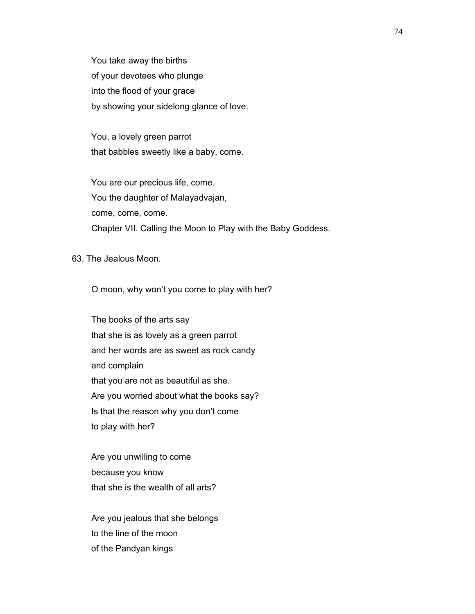You take away the births of your devotees who plunge into the flood of your grace by showing your sidelong glance of love.

 You, a lovely green parrot that babbles sweetly like a baby, come.

 You are our precious life, come. You the daughter of Malayadvajan, come, come, come. Chapter VII. Calling the Moon to Play with the Baby Goddess.

63. The Jealous Moon.

O moon, why won't you come to play with her?

 The books of the arts say that she is as lovely as a green parrot and her words are as sweet as rock candy and complain that you are not as beautiful as she. Are you worried about what the books say? Is that the reason why you don't come to play with her?

 Are you unwilling to come because you know that she is the wealth of all arts?

 Are you jealous that she belongs to the line of the moon of the Pandyan kings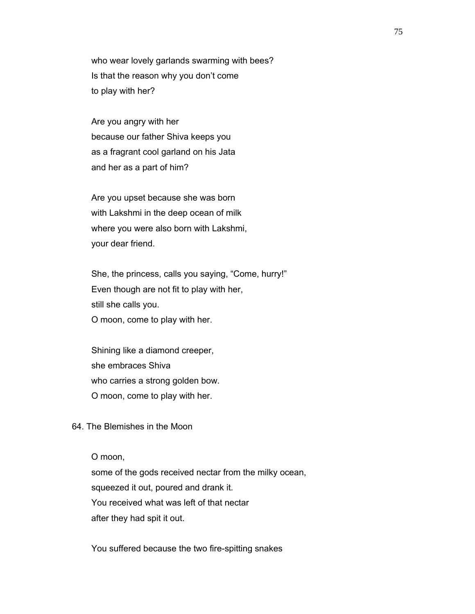who wear lovely garlands swarming with bees? Is that the reason why you don't come to play with her?

 Are you angry with her because our father Shiva keeps you as a fragrant cool garland on his Jata and her as a part of him?

 Are you upset because she was born with Lakshmi in the deep ocean of milk where you were also born with Lakshmi, your dear friend.

 She, the princess, calls you saying, "Come, hurry!" Even though are not fit to play with her, still she calls you. O moon, come to play with her.

 Shining like a diamond creeper, she embraces Shiva who carries a strong golden bow. O moon, come to play with her.

64. The Blemishes in the Moon

O moon,

 some of the gods received nectar from the milky ocean, squeezed it out, poured and drank it. You received what was left of that nectar after they had spit it out.

You suffered because the two fire-spitting snakes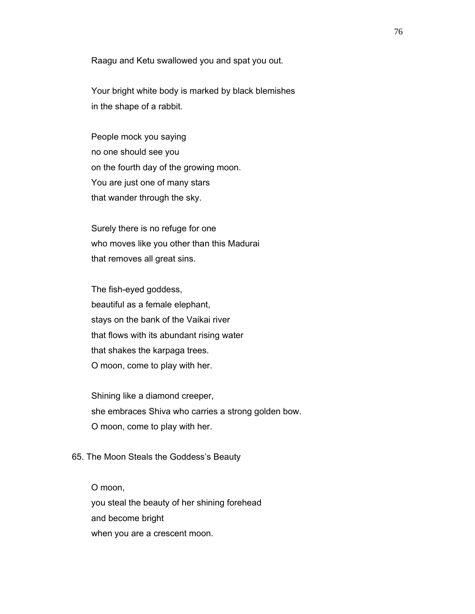Raagu and Ketu swallowed you and spat you out.

 Your bright white body is marked by black blemishes in the shape of a rabbit.

 People mock you saying no one should see you on the fourth day of the growing moon. You are just one of many stars that wander through the sky.

 Surely there is no refuge for one who moves like you other than this Madurai that removes all great sins.

 The fish-eyed goddess, beautiful as a female elephant, stays on the bank of the Vaikai river that flows with its abundant rising water that shakes the karpaga trees. O moon, come to play with her.

 Shining like a diamond creeper, she embraces Shiva who carries a strong golden bow. O moon, come to play with her.

### 65. The Moon Steals the Goddess's Beauty

 O moon, you steal the beauty of her shining forehead and become bright when you are a crescent moon.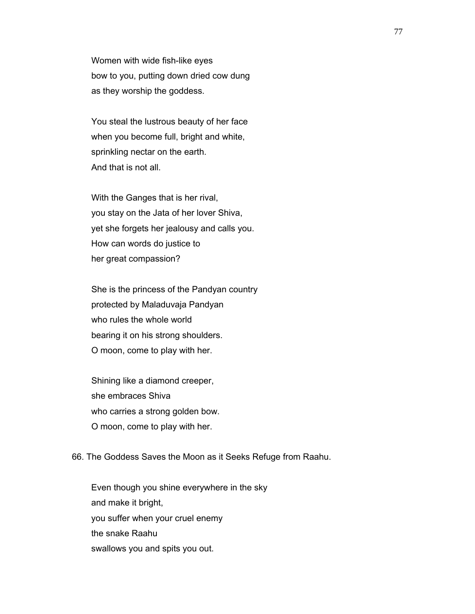Women with wide fish-like eyes bow to you, putting down dried cow dung as they worship the goddess.

 You steal the lustrous beauty of her face when you become full, bright and white, sprinkling nectar on the earth. And that is not all.

 With the Ganges that is her rival, you stay on the Jata of her lover Shiva, yet she forgets her jealousy and calls you. How can words do justice to her great compassion?

 She is the princess of the Pandyan country protected by Maladuvaja Pandyan who rules the whole world bearing it on his strong shoulders. O moon, come to play with her.

 Shining like a diamond creeper, she embraces Shiva who carries a strong golden bow. O moon, come to play with her.

#### 66. The Goddess Saves the Moon as it Seeks Refuge from Raahu.

 Even though you shine everywhere in the sky and make it bright, you suffer when your cruel enemy the snake Raahu swallows you and spits you out.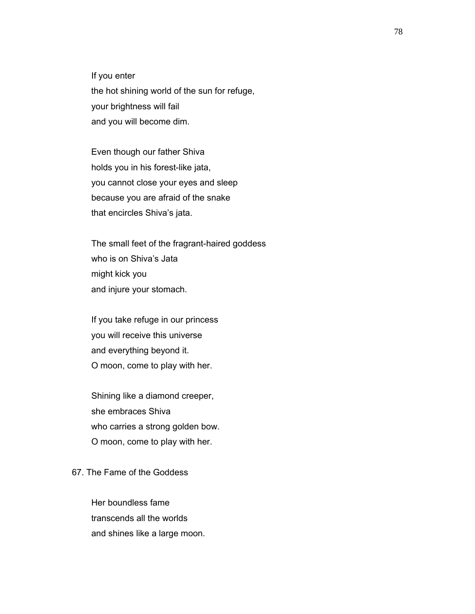If you enter the hot shining world of the sun for refuge, your brightness will fail and you will become dim.

 Even though our father Shiva holds you in his forest-like jata, you cannot close your eyes and sleep because you are afraid of the snake that encircles Shiva's jata.

 The small feet of the fragrant-haired goddess who is on Shiva's Jata might kick you and injure your stomach.

 If you take refuge in our princess you will receive this universe and everything beyond it. O moon, come to play with her.

 Shining like a diamond creeper, she embraces Shiva who carries a strong golden bow. O moon, come to play with her.

# 67. The Fame of the Goddess

 Her boundless fame transcends all the worlds and shines like a large moon.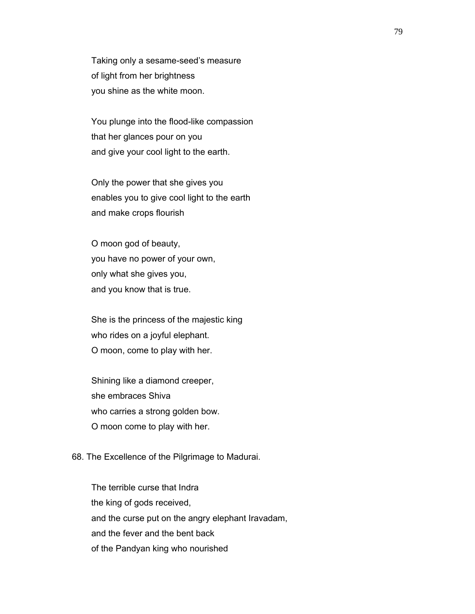Taking only a sesame-seed's measure of light from her brightness you shine as the white moon.

 You plunge into the flood-like compassion that her glances pour on you and give your cool light to the earth.

 Only the power that she gives you enables you to give cool light to the earth and make crops flourish

 O moon god of beauty, you have no power of your own, only what she gives you, and you know that is true.

 She is the princess of the majestic king who rides on a joyful elephant. O moon, come to play with her.

 Shining like a diamond creeper, she embraces Shiva who carries a strong golden bow. O moon come to play with her.

### 68. The Excellence of the Pilgrimage to Madurai.

 The terrible curse that Indra the king of gods received, and the curse put on the angry elephant Iravadam, and the fever and the bent back of the Pandyan king who nourished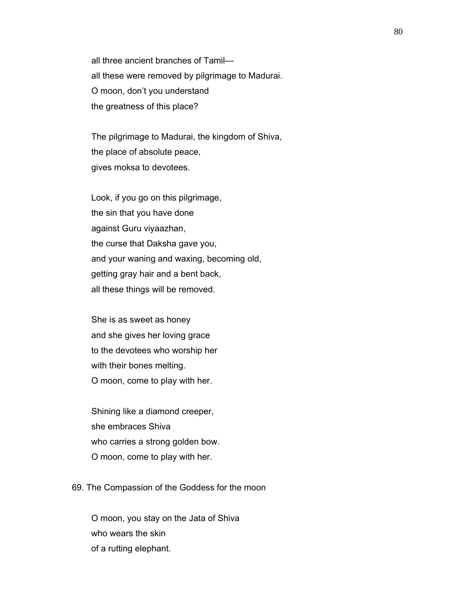all three ancient branches of Tamil all these were removed by pilgrimage to Madurai. O moon, don't you understand the greatness of this place?

 The pilgrimage to Madurai, the kingdom of Shiva, the place of absolute peace, gives moksa to devotees.

 Look, if you go on this pilgrimage, the sin that you have done against Guru viyaazhan, the curse that Daksha gave you, and your waning and waxing, becoming old, getting gray hair and a bent back, all these things will be removed.

 She is as sweet as honey and she gives her loving grace to the devotees who worship her with their bones melting. O moon, come to play with her.

 Shining like a diamond creeper, she embraces Shiva who carries a strong golden bow. O moon, come to play with her.

69. The Compassion of the Goddess for the moon

 O moon, you stay on the Jata of Shiva who wears the skin of a rutting elephant.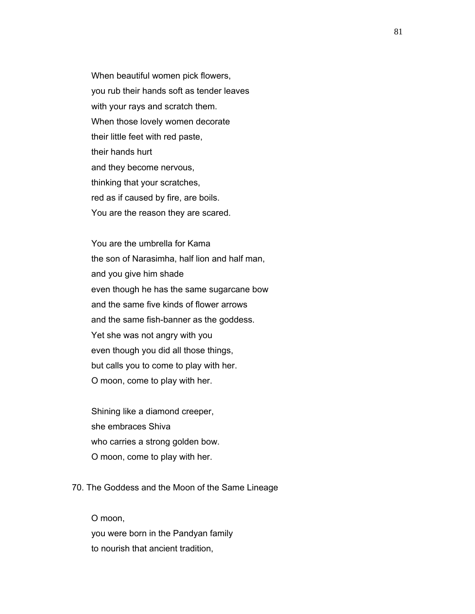When beautiful women pick flowers, you rub their hands soft as tender leaves with your rays and scratch them. When those lovely women decorate their little feet with red paste, their hands hurt and they become nervous, thinking that your scratches, red as if caused by fire, are boils. You are the reason they are scared.

 You are the umbrella for Kama the son of Narasimha, half lion and half man, and you give him shade even though he has the same sugarcane bow and the same five kinds of flower arrows and the same fish-banner as the goddess. Yet she was not angry with you even though you did all those things, but calls you to come to play with her. O moon, come to play with her.

 Shining like a diamond creeper, she embraces Shiva who carries a strong golden bow. O moon, come to play with her.

## 70. The Goddess and the Moon of the Same Lineage

 O moon, you were born in the Pandyan family to nourish that ancient tradition,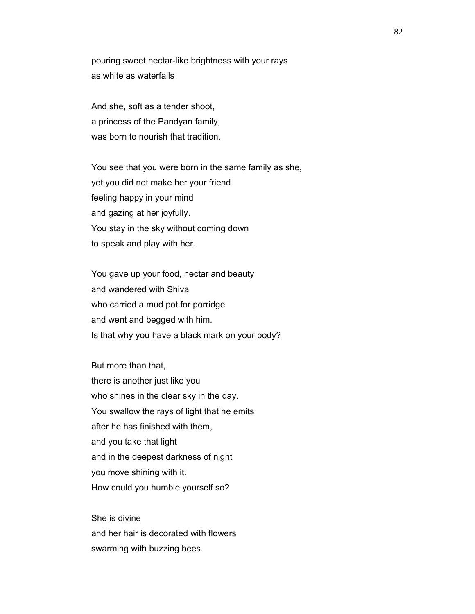pouring sweet nectar-like brightness with your rays as white as waterfalls

 And she, soft as a tender shoot, a princess of the Pandyan family, was born to nourish that tradition.

 You see that you were born in the same family as she, yet you did not make her your friend feeling happy in your mind and gazing at her joyfully. You stay in the sky without coming down to speak and play with her.

 You gave up your food, nectar and beauty and wandered with Shiva who carried a mud pot for porridge and went and begged with him. Is that why you have a black mark on your body?

 But more than that, there is another just like you who shines in the clear sky in the day. You swallow the rays of light that he emits after he has finished with them, and you take that light and in the deepest darkness of night you move shining with it. How could you humble yourself so?

 She is divine and her hair is decorated with flowers swarming with buzzing bees.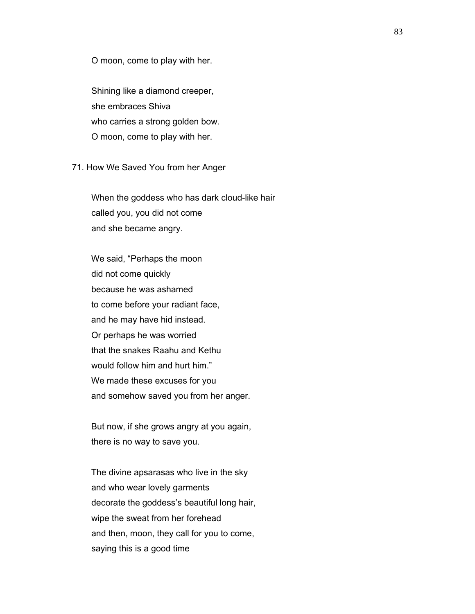O moon, come to play with her.

 Shining like a diamond creeper, she embraces Shiva who carries a strong golden bow. O moon, come to play with her.

71. How We Saved You from her Anger

 When the goddess who has dark cloud-like hair called you, you did not come and she became angry.

 We said, "Perhaps the moon did not come quickly because he was ashamed to come before your radiant face, and he may have hid instead. Or perhaps he was worried that the snakes Raahu and Kethu would follow him and hurt him." We made these excuses for you and somehow saved you from her anger.

 But now, if she grows angry at you again, there is no way to save you.

 The divine apsarasas who live in the sky and who wear lovely garments decorate the goddess's beautiful long hair, wipe the sweat from her forehead and then, moon, they call for you to come, saying this is a good time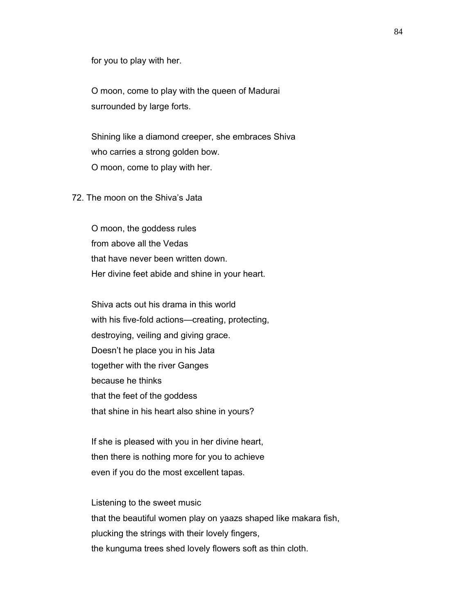for you to play with her.

 O moon, come to play with the queen of Madurai surrounded by large forts.

 Shining like a diamond creeper, she embraces Shiva who carries a strong golden bow. O moon, come to play with her.

# 72. The moon on the Shiva's Jata

 O moon, the goddess rules from above all the Vedas that have never been written down. Her divine feet abide and shine in your heart.

 Shiva acts out his drama in this world with his five-fold actions—creating, protecting, destroying, veiling and giving grace. Doesn't he place you in his Jata together with the river Ganges because he thinks that the feet of the goddess that shine in his heart also shine in yours?

 If she is pleased with you in her divine heart, then there is nothing more for you to achieve even if you do the most excellent tapas.

 Listening to the sweet music that the beautiful women play on yaazs shaped like makara fish, plucking the strings with their lovely fingers, the kunguma trees shed lovely flowers soft as thin cloth.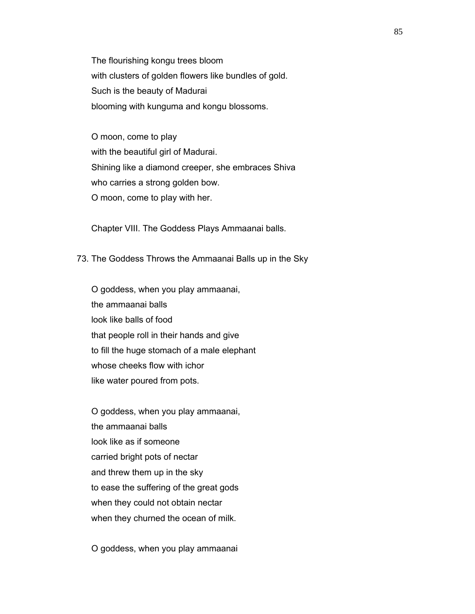The flourishing kongu trees bloom with clusters of golden flowers like bundles of gold. Such is the beauty of Madurai blooming with kunguma and kongu blossoms.

 O moon, come to play with the beautiful girl of Madurai. Shining like a diamond creeper, she embraces Shiva who carries a strong golden bow. O moon, come to play with her.

Chapter VIII. The Goddess Plays Ammaanai balls.

73. The Goddess Throws the Ammaanai Balls up in the Sky

 O goddess, when you play ammaanai, the ammaanai balls look like balls of food that people roll in their hands and give to fill the huge stomach of a male elephant whose cheeks flow with ichor like water poured from pots.

 O goddess, when you play ammaanai, the ammaanai balls look like as if someone carried bright pots of nectar and threw them up in the sky to ease the suffering of the great gods when they could not obtain nectar when they churned the ocean of milk.

O goddess, when you play ammaanai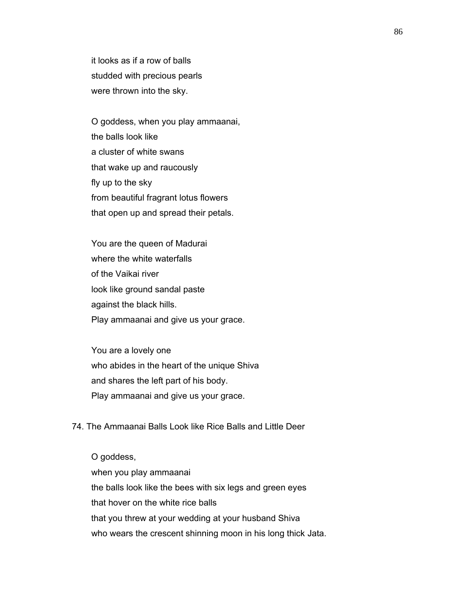it looks as if a row of balls studded with precious pearls were thrown into the sky.

 O goddess, when you play ammaanai, the balls look like a cluster of white swans that wake up and raucously fly up to the sky from beautiful fragrant lotus flowers that open up and spread their petals.

 You are the queen of Madurai where the white waterfalls of the Vaikai river look like ground sandal paste against the black hills. Play ammaanai and give us your grace.

 You are a lovely one who abides in the heart of the unique Shiva and shares the left part of his body. Play ammaanai and give us your grace.

74. The Ammaanai Balls Look like Rice Balls and Little Deer

 O goddess, when you play ammaanai the balls look like the bees with six legs and green eyes that hover on the white rice balls that you threw at your wedding at your husband Shiva who wears the crescent shinning moon in his long thick Jata.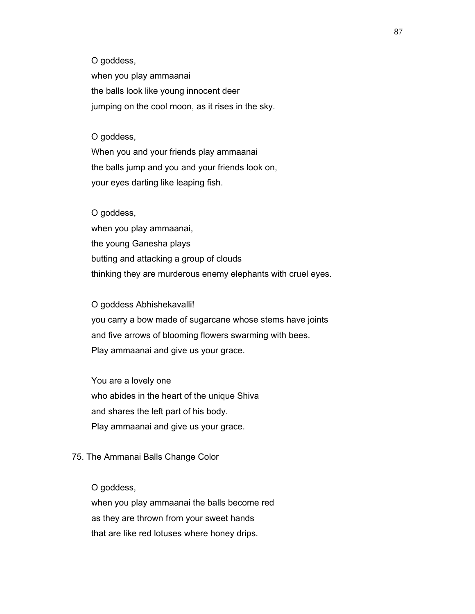O goddess,

 when you play ammaanai the balls look like young innocent deer jumping on the cool moon, as it rises in the sky.

#### O goddess,

 When you and your friends play ammaanai the balls jump and you and your friends look on, your eyes darting like leaping fish.

#### O goddess,

 when you play ammaanai, the young Ganesha plays butting and attacking a group of clouds thinking they are murderous enemy elephants with cruel eyes.

 O goddess Abhishekavalli! you carry a bow made of sugarcane whose stems have joints and five arrows of blooming flowers swarming with bees. Play ammaanai and give us your grace.

 You are a lovely one who abides in the heart of the unique Shiva and shares the left part of his body. Play ammaanai and give us your grace.

### 75. The Ammanai Balls Change Color

### O goddess,

 when you play ammaanai the balls become red as they are thrown from your sweet hands that are like red lotuses where honey drips.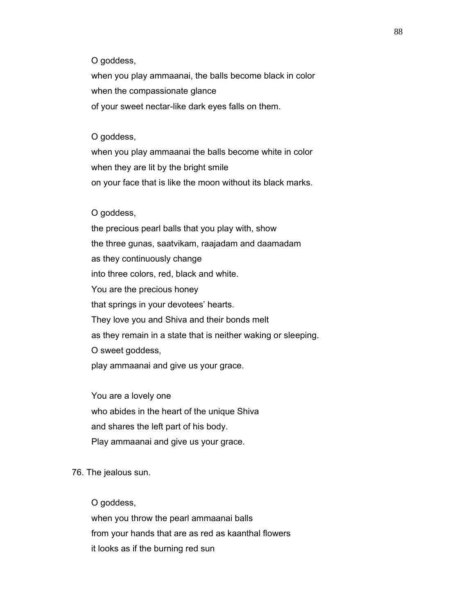O goddess,

 when you play ammaanai, the balls become black in color when the compassionate glance of your sweet nectar-like dark eyes falls on them.

#### O goddess,

 when you play ammaanai the balls become white in color when they are lit by the bright smile on your face that is like the moon without its black marks.

#### O goddess,

 the precious pearl balls that you play with, show the three gunas, saatvikam, raajadam and daamadam as they continuously change into three colors, red, black and white. You are the precious honey that springs in your devotees' hearts. They love you and Shiva and their bonds melt as they remain in a state that is neither waking or sleeping. O sweet goddess, play ammaanai and give us your grace.

 You are a lovely one who abides in the heart of the unique Shiva and shares the left part of his body. Play ammaanai and give us your grace.

#### 76. The jealous sun.

 O goddess, when you throw the pearl ammaanai balls from your hands that are as red as kaanthal flowers it looks as if the burning red sun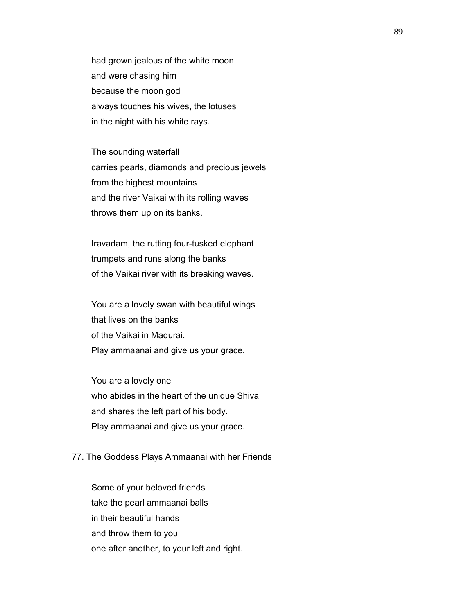had grown jealous of the white moon and were chasing him because the moon god always touches his wives, the lotuses in the night with his white rays.

 The sounding waterfall carries pearls, diamonds and precious jewels from the highest mountains and the river Vaikai with its rolling waves throws them up on its banks.

 Iravadam, the rutting four-tusked elephant trumpets and runs along the banks of the Vaikai river with its breaking waves.

 You are a lovely swan with beautiful wings that lives on the banks of the Vaikai in Madurai. Play ammaanai and give us your grace.

 You are a lovely one who abides in the heart of the unique Shiva and shares the left part of his body. Play ammaanai and give us your grace.

## 77. The Goddess Plays Ammaanai with her Friends

 Some of your beloved friends take the pearl ammaanai balls in their beautiful hands and throw them to you one after another, to your left and right.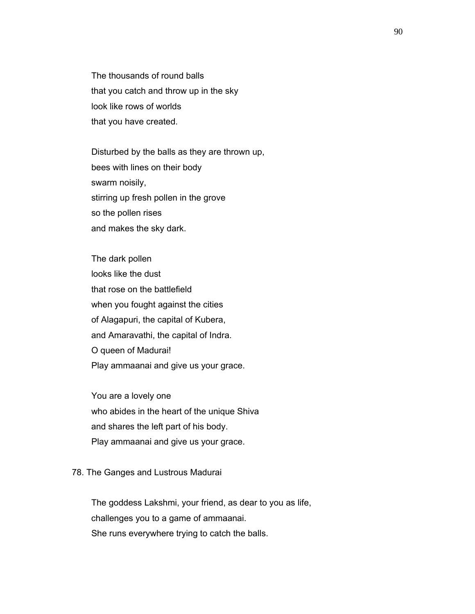The thousands of round balls that you catch and throw up in the sky look like rows of worlds that you have created.

 Disturbed by the balls as they are thrown up, bees with lines on their body swarm noisily, stirring up fresh pollen in the grove so the pollen rises and makes the sky dark.

 The dark pollen looks like the dust that rose on the battlefield when you fought against the cities of Alagapuri, the capital of Kubera, and Amaravathi, the capital of Indra. O queen of Madurai! Play ammaanai and give us your grace.

 You are a lovely one who abides in the heart of the unique Shiva and shares the left part of his body. Play ammaanai and give us your grace.

#### 78. The Ganges and Lustrous Madurai

 The goddess Lakshmi, your friend, as dear to you as life, challenges you to a game of ammaanai. She runs everywhere trying to catch the balls.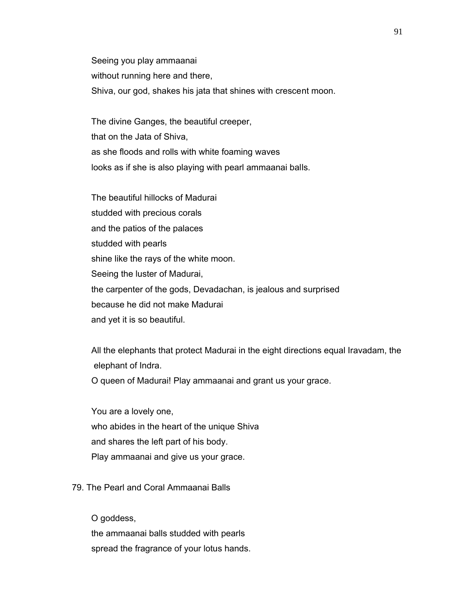Seeing you play ammaanai without running here and there, Shiva, our god, shakes his jata that shines with crescent moon.

 The divine Ganges, the beautiful creeper, that on the Jata of Shiva, as she floods and rolls with white foaming waves looks as if she is also playing with pearl ammaanai balls.

 The beautiful hillocks of Madurai studded with precious corals and the patios of the palaces studded with pearls shine like the rays of the white moon. Seeing the luster of Madurai, the carpenter of the gods, Devadachan, is jealous and surprised because he did not make Madurai and yet it is so beautiful.

 All the elephants that protect Madurai in the eight directions equal Iravadam, the elephant of Indra.

O queen of Madurai! Play ammaanai and grant us your grace.

 You are a lovely one, who abides in the heart of the unique Shiva and shares the left part of his body. Play ammaanai and give us your grace.

# 79. The Pearl and Coral Ammaanai Balls

O goddess,

 the ammaanai balls studded with pearls spread the fragrance of your lotus hands.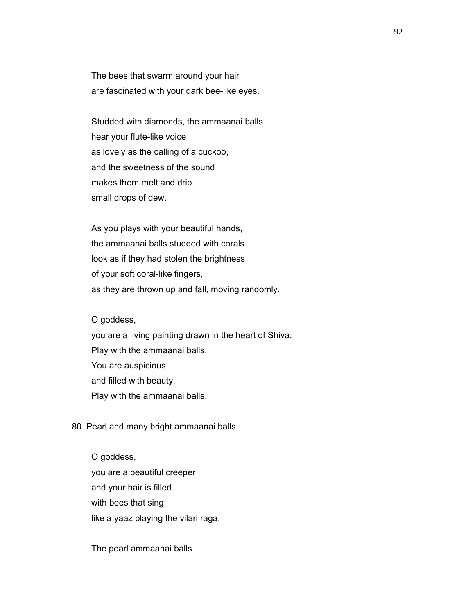The bees that swarm around your hair are fascinated with your dark bee-like eyes.

 Studded with diamonds, the ammaanai balls hear your flute-like voice as lovely as the calling of a cuckoo, and the sweetness of the sound makes them melt and drip small drops of dew.

 As you plays with your beautiful hands, the ammaanai balls studded with corals look as if they had stolen the brightness of your soft coral-like fingers, as they are thrown up and fall, moving randomly.

O goddess,

 you are a living painting drawn in the heart of Shiva. Play with the ammaanai balls. You are auspicious and filled with beauty. Play with the ammaanai balls.

80. Pearl and many bright ammaanai balls.

 O goddess, you are a beautiful creeper and your hair is filled with bees that sing like a yaaz playing the vilari raga.

The pearl ammaanai balls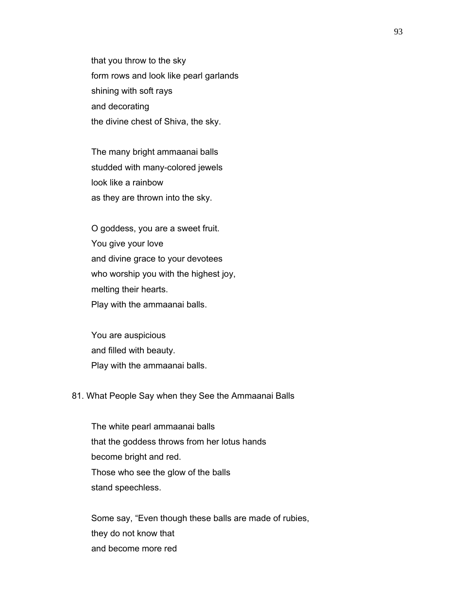that you throw to the sky form rows and look like pearl garlands shining with soft rays and decorating the divine chest of Shiva, the sky.

 The many bright ammaanai balls studded with many-colored jewels look like a rainbow as they are thrown into the sky.

 O goddess, you are a sweet fruit. You give your love and divine grace to your devotees who worship you with the highest joy, melting their hearts. Play with the ammaanai balls.

 You are auspicious and filled with beauty. Play with the ammaanai balls.

### 81. What People Say when they See the Ammaanai Balls

 The white pearl ammaanai balls that the goddess throws from her lotus hands become bright and red. Those who see the glow of the balls stand speechless.

 Some say, "Even though these balls are made of rubies, they do not know that and become more red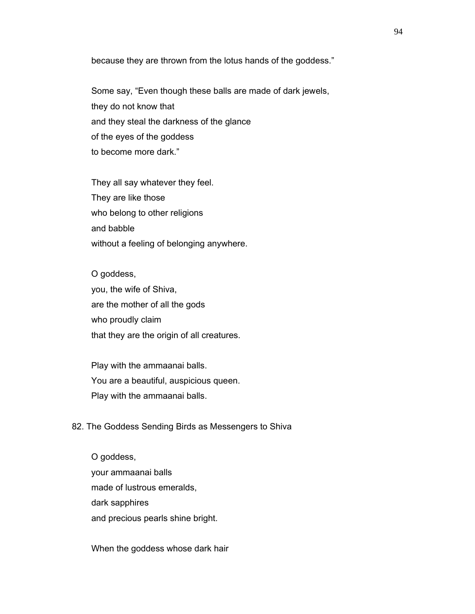because they are thrown from the lotus hands of the goddess."

 Some say, "Even though these balls are made of dark jewels, they do not know that and they steal the darkness of the glance of the eyes of the goddess to become more dark."

 They all say whatever they feel. They are like those who belong to other religions and babble without a feeling of belonging anywhere.

 O goddess, you, the wife of Shiva, are the mother of all the gods who proudly claim that they are the origin of all creatures.

 Play with the ammaanai balls. You are a beautiful, auspicious queen. Play with the ammaanai balls.

### 82. The Goddess Sending Birds as Messengers to Shiva

 O goddess, your ammaanai balls made of lustrous emeralds, dark sapphires and precious pearls shine bright.

When the goddess whose dark hair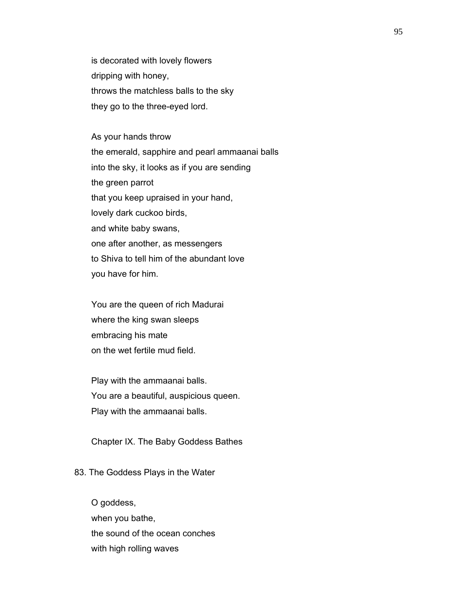is decorated with lovely flowers dripping with honey, throws the matchless balls to the sky they go to the three-eyed lord.

 As your hands throw the emerald, sapphire and pearl ammaanai balls into the sky, it looks as if you are sending the green parrot that you keep upraised in your hand, lovely dark cuckoo birds, and white baby swans, one after another, as messengers to Shiva to tell him of the abundant love you have for him.

 You are the queen of rich Madurai where the king swan sleeps embracing his mate on the wet fertile mud field.

 Play with the ammaanai balls. You are a beautiful, auspicious queen. Play with the ammaanai balls.

Chapter IX. The Baby Goddess Bathes

#### 83. The Goddess Plays in the Water

 O goddess, when you bathe, the sound of the ocean conches with high rolling waves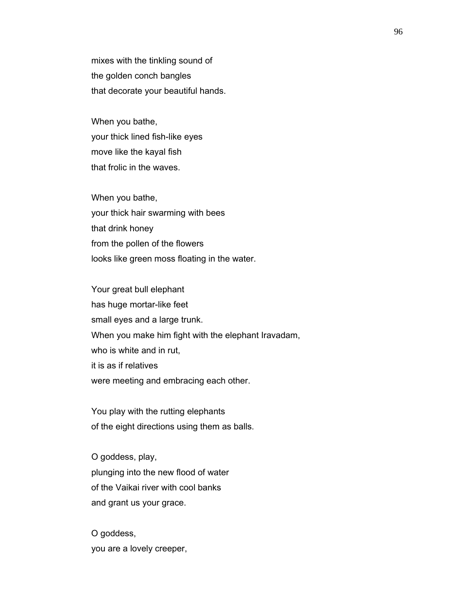mixes with the tinkling sound of the golden conch bangles that decorate your beautiful hands.

 When you bathe, your thick lined fish-like eyes move like the kayal fish that frolic in the waves.

 When you bathe, your thick hair swarming with bees that drink honey from the pollen of the flowers looks like green moss floating in the water.

 Your great bull elephant has huge mortar-like feet small eyes and a large trunk. When you make him fight with the elephant Iravadam, who is white and in rut, it is as if relatives were meeting and embracing each other.

 You play with the rutting elephants of the eight directions using them as balls.

 O goddess, play, plunging into the new flood of water of the Vaikai river with cool banks and grant us your grace.

 O goddess, you are a lovely creeper,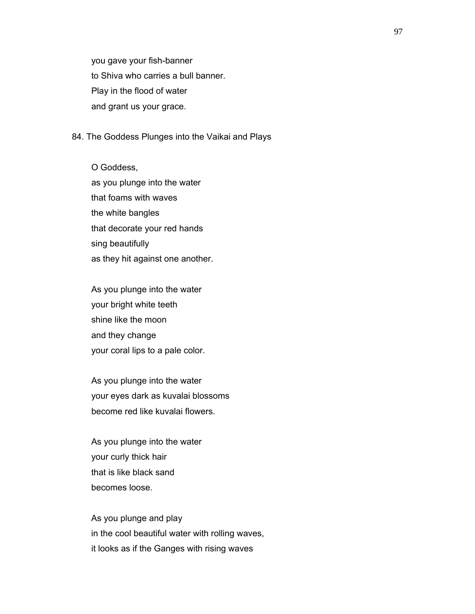you gave your fish-banner to Shiva who carries a bull banner. Play in the flood of water and grant us your grace.

#### 84. The Goddess Plunges into the Vaikai and Plays

 O Goddess, as you plunge into the water that foams with waves the white bangles that decorate your red hands sing beautifully as they hit against one another.

 As you plunge into the water your bright white teeth shine like the moon and they change your coral lips to a pale color.

 As you plunge into the water your eyes dark as kuvalai blossoms become red like kuvalai flowers.

 As you plunge into the water your curly thick hair that is like black sand becomes loose.

 As you plunge and play in the cool beautiful water with rolling waves, it looks as if the Ganges with rising waves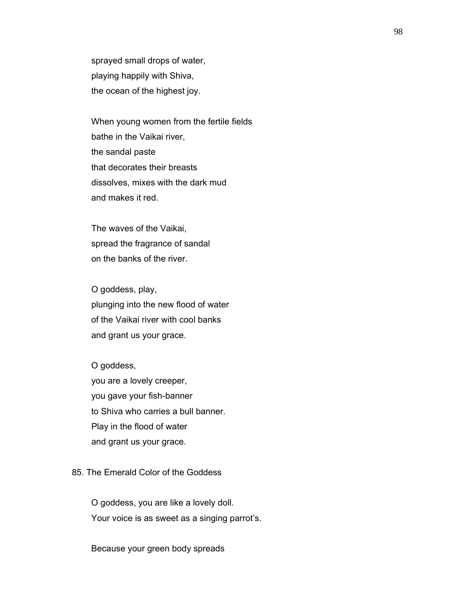sprayed small drops of water, playing happily with Shiva, the ocean of the highest joy.

 When young women from the fertile fields bathe in the Vaikai river, the sandal paste that decorates their breasts dissolves, mixes with the dark mud and makes it red.

 The waves of the Vaikai, spread the fragrance of sandal on the banks of the river.

 O goddess, play, plunging into the new flood of water of the Vaikai river with cool banks and grant us your grace.

 O goddess, you are a lovely creeper, you gave your fish-banner to Shiva who carries a bull banner. Play in the flood of water and grant us your grace.

# 85. The Emerald Color of the Goddess

 O goddess, you are like a lovely doll. Your voice is as sweet as a singing parrot's.

Because your green body spreads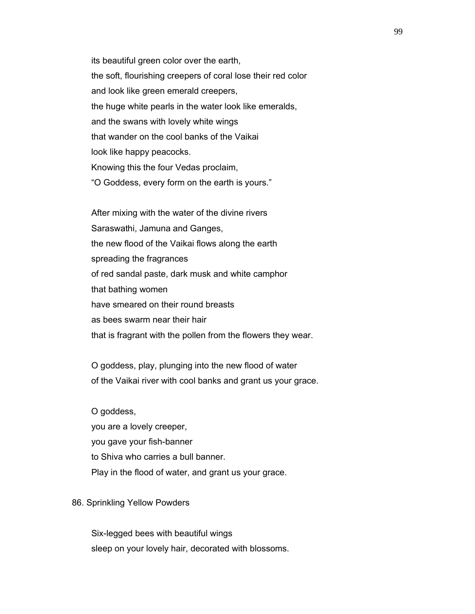its beautiful green color over the earth, the soft, flourishing creepers of coral lose their red color and look like green emerald creepers, the huge white pearls in the water look like emeralds, and the swans with lovely white wings that wander on the cool banks of the Vaikai look like happy peacocks. Knowing this the four Vedas proclaim, "O Goddess, every form on the earth is yours."

 After mixing with the water of the divine rivers Saraswathi, Jamuna and Ganges, the new flood of the Vaikai flows along the earth spreading the fragrances of red sandal paste, dark musk and white camphor that bathing women have smeared on their round breasts as bees swarm near their hair that is fragrant with the pollen from the flowers they wear.

 O goddess, play, plunging into the new flood of water of the Vaikai river with cool banks and grant us your grace.

 O goddess, you are a lovely creeper, you gave your fish-banner to Shiva who carries a bull banner. Play in the flood of water, and grant us your grace.

### 86. Sprinkling Yellow Powders

 Six-legged bees with beautiful wings sleep on your lovely hair, decorated with blossoms.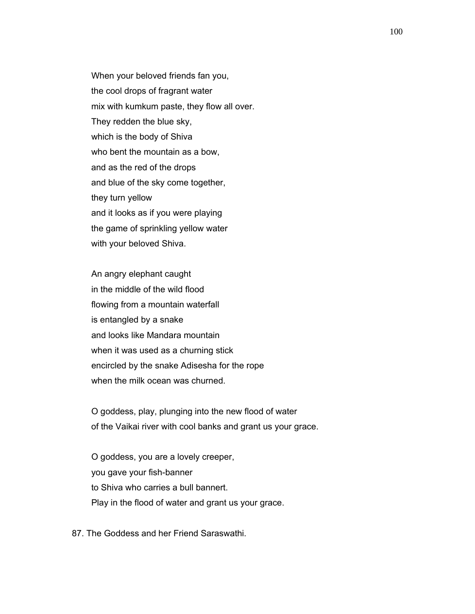When your beloved friends fan you, the cool drops of fragrant water mix with kumkum paste, they flow all over. They redden the blue sky, which is the body of Shiva who bent the mountain as a bow, and as the red of the drops and blue of the sky come together, they turn yellow and it looks as if you were playing the game of sprinkling yellow water with your beloved Shiva.

 An angry elephant caught in the middle of the wild flood flowing from a mountain waterfall is entangled by a snake and looks like Mandara mountain when it was used as a churning stick encircled by the snake Adisesha for the rope when the milk ocean was churned.

 O goddess, play, plunging into the new flood of water of the Vaikai river with cool banks and grant us your grace.

 O goddess, you are a lovely creeper, you gave your fish-banner to Shiva who carries a bull bannert. Play in the flood of water and grant us your grace.

87. The Goddess and her Friend Saraswathi.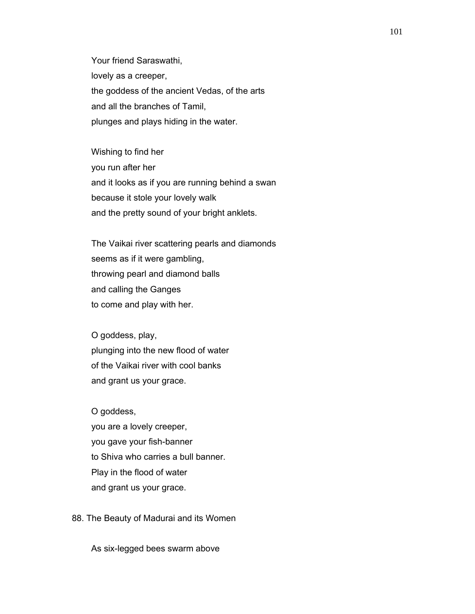Your friend Saraswathi, lovely as a creeper, the goddess of the ancient Vedas, of the arts and all the branches of Tamil, plunges and plays hiding in the water.

 Wishing to find her you run after her and it looks as if you are running behind a swan because it stole your lovely walk and the pretty sound of your bright anklets.

 The Vaikai river scattering pearls and diamonds seems as if it were gambling, throwing pearl and diamond balls and calling the Ganges to come and play with her.

 O goddess, play, plunging into the new flood of water of the Vaikai river with cool banks and grant us your grace.

 O goddess, you are a lovely creeper, you gave your fish-banner to Shiva who carries a bull banner. Play in the flood of water and grant us your grace.

88. The Beauty of Madurai and its Women

As six-legged bees swarm above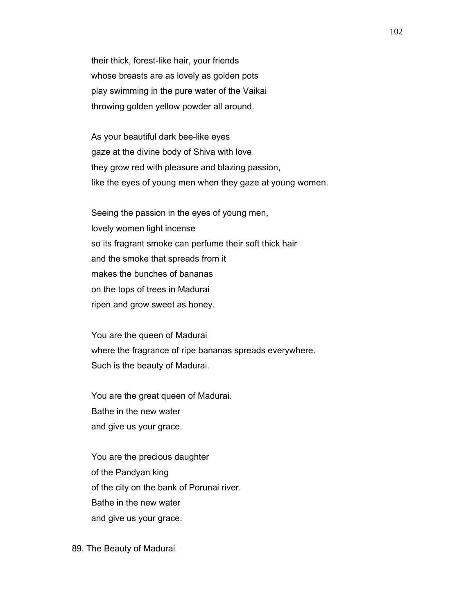their thick, forest-like hair, your friends whose breasts are as lovely as golden pots play swimming in the pure water of the Vaikai throwing golden yellow powder all around.

 As your beautiful dark bee-like eyes gaze at the divine body of Shiva with love they grow red with pleasure and blazing passion, like the eyes of young men when they gaze at young women.

 Seeing the passion in the eyes of young men, lovely women light incense so its fragrant smoke can perfume their soft thick hair and the smoke that spreads from it makes the bunches of bananas on the tops of trees in Madurai ripen and grow sweet as honey.

 You are the queen of Madurai where the fragrance of ripe bananas spreads everywhere. Such is the beauty of Madurai.

 You are the great queen of Madurai. Bathe in the new water and give us your grace.

 You are the precious daughter of the Pandyan king of the city on the bank of Porunai river. Bathe in the new water and give us your grace.

#### 89. The Beauty of Madurai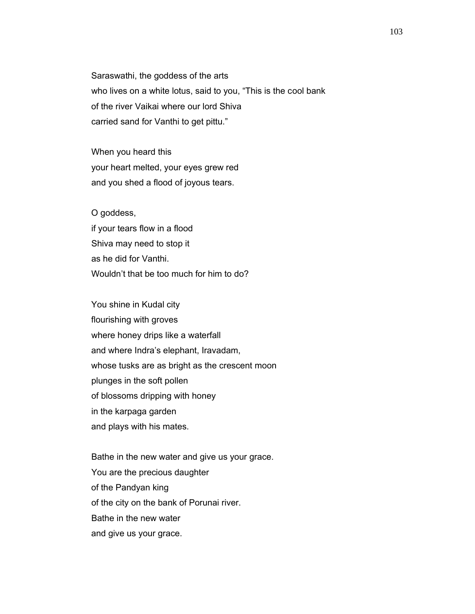Saraswathi, the goddess of the arts who lives on a white lotus, said to you, "This is the cool bank of the river Vaikai where our lord Shiva carried sand for Vanthi to get pittu."

 When you heard this your heart melted, your eyes grew red and you shed a flood of joyous tears.

 O goddess, if your tears flow in a flood Shiva may need to stop it as he did for Vanthi. Wouldn't that be too much for him to do?

 You shine in Kudal city flourishing with groves where honey drips like a waterfall and where Indra's elephant, Iravadam, whose tusks are as bright as the crescent moon plunges in the soft pollen of blossoms dripping with honey in the karpaga garden and plays with his mates.

 Bathe in the new water and give us your grace. You are the precious daughter of the Pandyan king of the city on the bank of Porunai river. Bathe in the new water and give us your grace.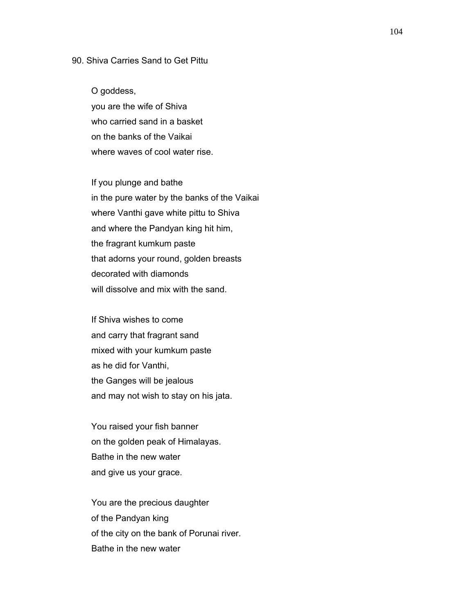### 90. Shiva Carries Sand to Get Pittu

 O goddess, you are the wife of Shiva who carried sand in a basket on the banks of the Vaikai where waves of cool water rise.

 If you plunge and bathe in the pure water by the banks of the Vaikai where Vanthi gave white pittu to Shiva and where the Pandyan king hit him, the fragrant kumkum paste that adorns your round, golden breasts decorated with diamonds will dissolve and mix with the sand.

 If Shiva wishes to come and carry that fragrant sand mixed with your kumkum paste as he did for Vanthi, the Ganges will be jealous and may not wish to stay on his jata.

 You raised your fish banner on the golden peak of Himalayas. Bathe in the new water and give us your grace.

 You are the precious daughter of the Pandyan king of the city on the bank of Porunai river. Bathe in the new water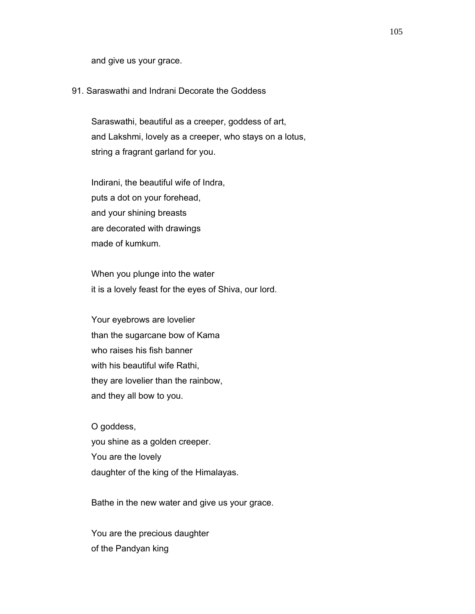and give us your grace.

# 91. Saraswathi and Indrani Decorate the Goddess

 Saraswathi, beautiful as a creeper, goddess of art, and Lakshmi, lovely as a creeper, who stays on a lotus, string a fragrant garland for you.

 Indirani, the beautiful wife of Indra, puts a dot on your forehead, and your shining breasts are decorated with drawings made of kumkum.

 When you plunge into the water it is a lovely feast for the eyes of Shiva, our lord.

 Your eyebrows are lovelier than the sugarcane bow of Kama who raises his fish banner with his beautiful wife Rathi, they are lovelier than the rainbow, and they all bow to you.

 O goddess, you shine as a golden creeper. You are the lovely daughter of the king of the Himalayas.

Bathe in the new water and give us your grace.

 You are the precious daughter of the Pandyan king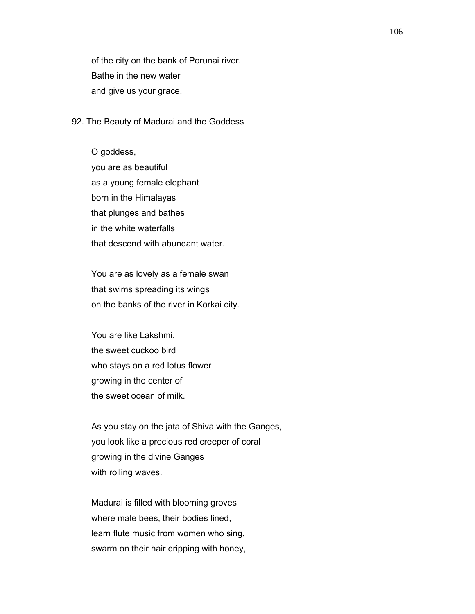of the city on the bank of Porunai river. Bathe in the new water and give us your grace.

#### 92. The Beauty of Madurai and the Goddess

 O goddess, you are as beautiful as a young female elephant born in the Himalayas that plunges and bathes in the white waterfalls that descend with abundant water.

 You are as lovely as a female swan that swims spreading its wings on the banks of the river in Korkai city.

 You are like Lakshmi, the sweet cuckoo bird who stays on a red lotus flower growing in the center of the sweet ocean of milk.

 As you stay on the jata of Shiva with the Ganges, you look like a precious red creeper of coral growing in the divine Ganges with rolling waves.

 Madurai is filled with blooming groves where male bees, their bodies lined, learn flute music from women who sing, swarm on their hair dripping with honey,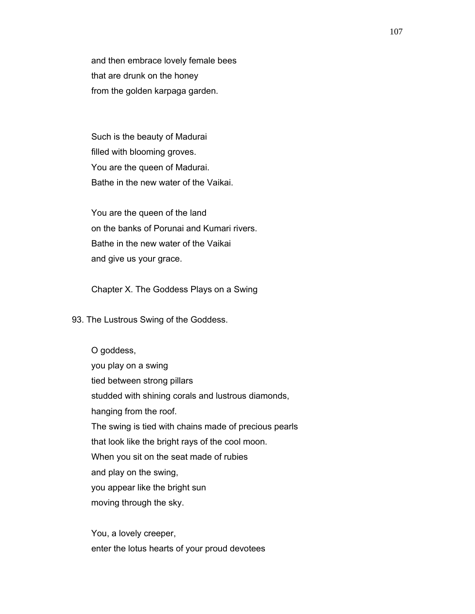and then embrace lovely female bees that are drunk on the honey from the golden karpaga garden.

 Such is the beauty of Madurai filled with blooming groves. You are the queen of Madurai. Bathe in the new water of the Vaikai.

 You are the queen of the land on the banks of Porunai and Kumari rivers. Bathe in the new water of the Vaikai and give us your grace.

Chapter X. The Goddess Plays on a Swing

93. The Lustrous Swing of the Goddess.

 O goddess, you play on a swing tied between strong pillars studded with shining corals and lustrous diamonds, hanging from the roof. The swing is tied with chains made of precious pearls that look like the bright rays of the cool moon. When you sit on the seat made of rubies and play on the swing, you appear like the bright sun moving through the sky.

 You, a lovely creeper, enter the lotus hearts of your proud devotees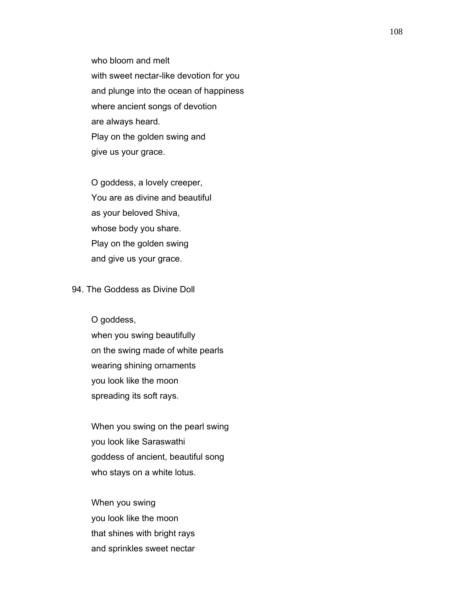who bloom and melt with sweet nectar-like devotion for you and plunge into the ocean of happiness where ancient songs of devotion are always heard. Play on the golden swing and give us your grace.

 O goddess, a lovely creeper, You are as divine and beautiful as your beloved Shiva, whose body you share. Play on the golden swing and give us your grace.

#### 94. The Goddess as Divine Doll

O goddess,

 when you swing beautifully on the swing made of white pearls wearing shining ornaments you look like the moon spreading its soft rays.

 When you swing on the pearl swing you look like Saraswathi goddess of ancient, beautiful song who stays on a white lotus.

 When you swing you look like the moon that shines with bright rays and sprinkles sweet nectar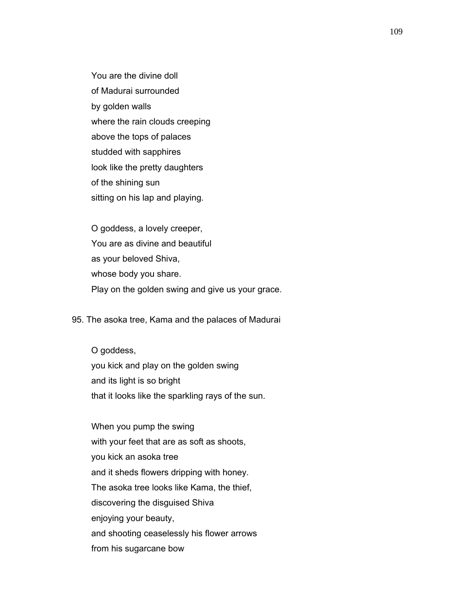You are the divine doll of Madurai surrounded by golden walls where the rain clouds creeping above the tops of palaces studded with sapphires look like the pretty daughters of the shining sun sitting on his lap and playing.

 O goddess, a lovely creeper, You are as divine and beautiful as your beloved Shiva, whose body you share. Play on the golden swing and give us your grace.

95. The asoka tree, Kama and the palaces of Madurai

 O goddess, you kick and play on the golden swing and its light is so bright that it looks like the sparkling rays of the sun.

 When you pump the swing with your feet that are as soft as shoots, you kick an asoka tree and it sheds flowers dripping with honey. The asoka tree looks like Kama, the thief, discovering the disguised Shiva enjoying your beauty, and shooting ceaselessly his flower arrows from his sugarcane bow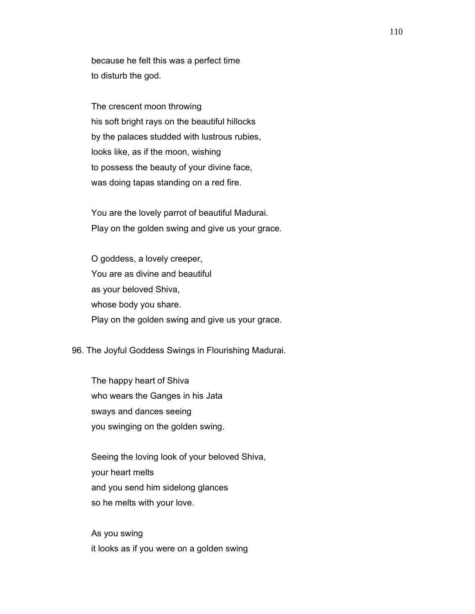because he felt this was a perfect time to disturb the god.

 The crescent moon throwing his soft bright rays on the beautiful hillocks by the palaces studded with lustrous rubies, looks like, as if the moon, wishing to possess the beauty of your divine face, was doing tapas standing on a red fire.

 You are the lovely parrot of beautiful Madurai. Play on the golden swing and give us your grace.

 O goddess, a lovely creeper, You are as divine and beautiful as your beloved Shiva, whose body you share. Play on the golden swing and give us your grace.

## 96. The Joyful Goddess Swings in Flourishing Madurai.

 The happy heart of Shiva who wears the Ganges in his Jata sways and dances seeing you swinging on the golden swing.

 Seeing the loving look of your beloved Shiva, your heart melts and you send him sidelong glances so he melts with your love.

 As you swing it looks as if you were on a golden swing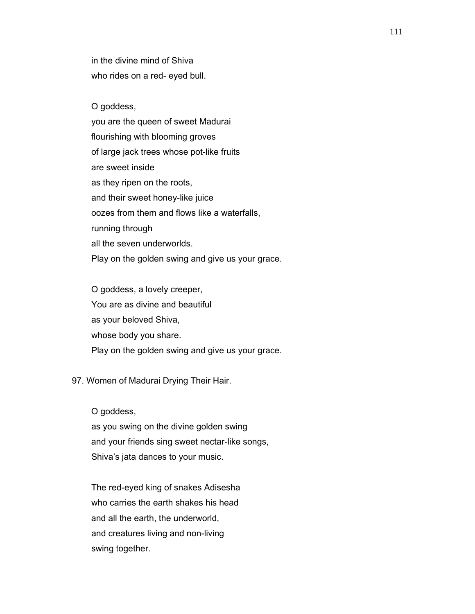in the divine mind of Shiva who rides on a red- eyed bull.

O goddess,

 you are the queen of sweet Madurai flourishing with blooming groves of large jack trees whose pot-like fruits are sweet inside as they ripen on the roots, and their sweet honey-like juice oozes from them and flows like a waterfalls, running through all the seven underworlds. Play on the golden swing and give us your grace.

 O goddess, a lovely creeper, You are as divine and beautiful as your beloved Shiva, whose body you share. Play on the golden swing and give us your grace.

97. Women of Madurai Drying Their Hair.

O goddess,

 as you swing on the divine golden swing and your friends sing sweet nectar-like songs, Shiva's jata dances to your music.

 The red-eyed king of snakes Adisesha who carries the earth shakes his head and all the earth, the underworld, and creatures living and non-living swing together.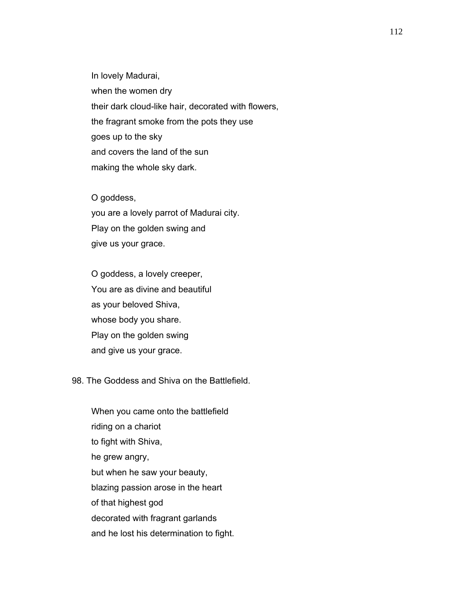In lovely Madurai, when the women dry their dark cloud-like hair, decorated with flowers, the fragrant smoke from the pots they use goes up to the sky and covers the land of the sun making the whole sky dark.

 O goddess, you are a lovely parrot of Madurai city. Play on the golden swing and give us your grace.

 O goddess, a lovely creeper, You are as divine and beautiful as your beloved Shiva, whose body you share. Play on the golden swing and give us your grace.

## 98. The Goddess and Shiva on the Battlefield.

 When you came onto the battlefield riding on a chariot to fight with Shiva, he grew angry, but when he saw your beauty, blazing passion arose in the heart of that highest god decorated with fragrant garlands and he lost his determination to fight.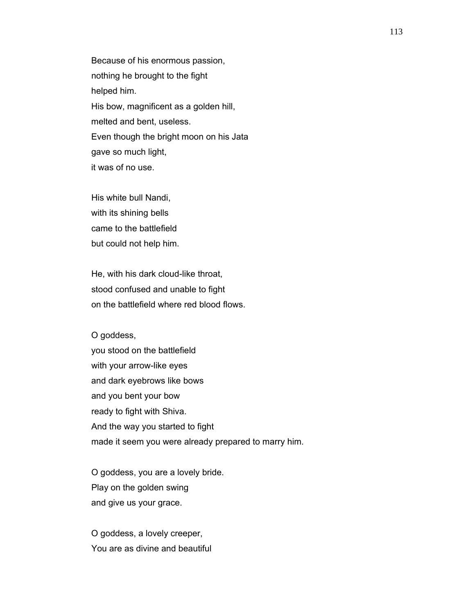Because of his enormous passion, nothing he brought to the fight helped him. His bow, magnificent as a golden hill, melted and bent, useless. Even though the bright moon on his Jata gave so much light, it was of no use.

 His white bull Nandi, with its shining bells came to the battlefield but could not help him.

 He, with his dark cloud-like throat, stood confused and unable to fight on the battlefield where red blood flows.

 O goddess, you stood on the battlefield with your arrow-like eyes and dark eyebrows like bows and you bent your bow ready to fight with Shiva. And the way you started to fight made it seem you were already prepared to marry him.

 O goddess, you are a lovely bride. Play on the golden swing and give us your grace.

 O goddess, a lovely creeper, You are as divine and beautiful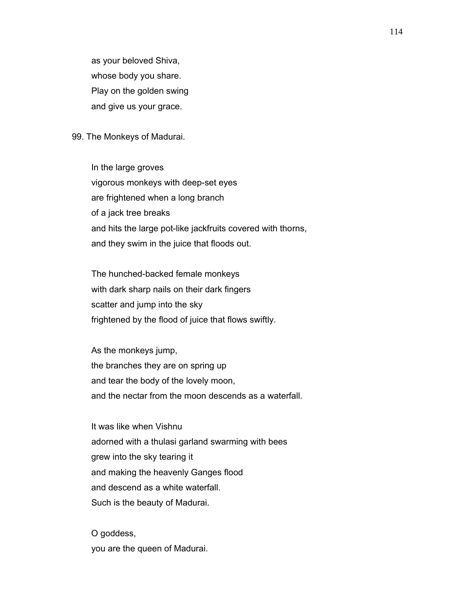as your beloved Shiva, whose body you share. Play on the golden swing and give us your grace.

## 99. The Monkeys of Madurai.

 In the large groves vigorous monkeys with deep-set eyes are frightened when a long branch of a jack tree breaks and hits the large pot-like jackfruits covered with thorns, and they swim in the juice that floods out.

 The hunched-backed female monkeys with dark sharp nails on their dark fingers scatter and jump into the sky frightened by the flood of juice that flows swiftly.

 As the monkeys jump, the branches they are on spring up and tear the body of the lovely moon, and the nectar from the moon descends as a waterfall.

 It was like when Vishnu adorned with a thulasi garland swarming with bees grew into the sky tearing it and making the heavenly Ganges flood and descend as a white waterfall. Such is the beauty of Madurai.

 O goddess, you are the queen of Madurai.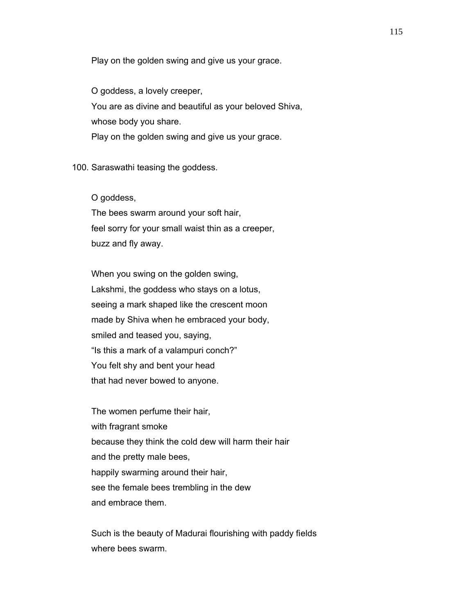Play on the golden swing and give us your grace.

 O goddess, a lovely creeper, You are as divine and beautiful as your beloved Shiva, whose body you share. Play on the golden swing and give us your grace.

100. Saraswathi teasing the goddess.

O goddess,

 The bees swarm around your soft hair, feel sorry for your small waist thin as a creeper, buzz and fly away.

 When you swing on the golden swing, Lakshmi, the goddess who stays on a lotus, seeing a mark shaped like the crescent moon made by Shiva when he embraced your body, smiled and teased you, saying, "Is this a mark of a valampuri conch?" You felt shy and bent your head that had never bowed to anyone.

 The women perfume their hair, with fragrant smoke because they think the cold dew will harm their hair and the pretty male bees, happily swarming around their hair, see the female bees trembling in the dew and embrace them.

 Such is the beauty of Madurai flourishing with paddy fields where bees swarm.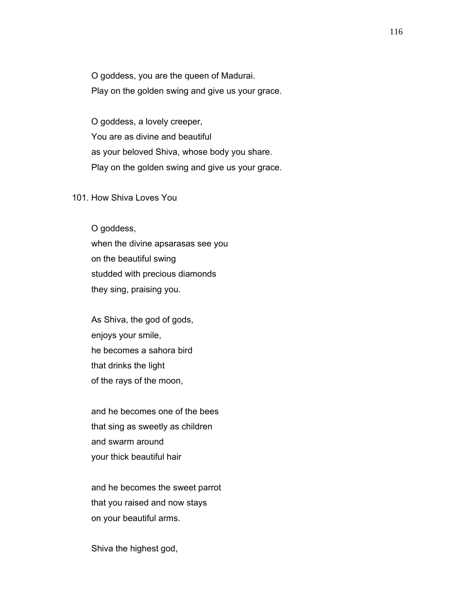O goddess, you are the queen of Madurai. Play on the golden swing and give us your grace.

 O goddess, a lovely creeper, You are as divine and beautiful as your beloved Shiva, whose body you share. Play on the golden swing and give us your grace.

## 101. How Shiva Loves You

 O goddess, when the divine apsarasas see you on the beautiful swing studded with precious diamonds they sing, praising you.

 As Shiva, the god of gods, enjoys your smile, he becomes a sahora bird that drinks the light of the rays of the moon,

 and he becomes one of the bees that sing as sweetly as children and swarm around your thick beautiful hair

 and he becomes the sweet parrot that you raised and now stays on your beautiful arms.

Shiva the highest god,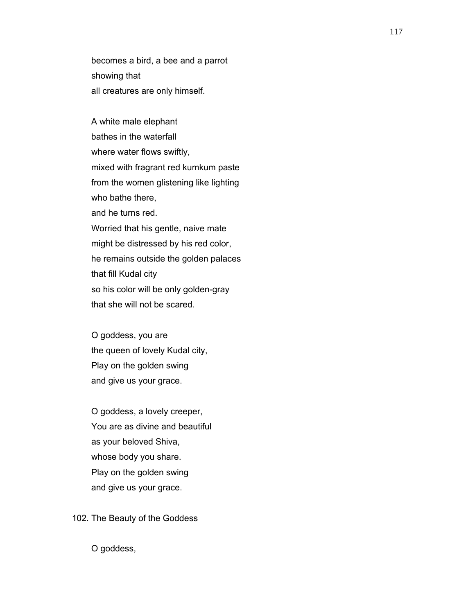becomes a bird, a bee and a parrot showing that all creatures are only himself.

 A white male elephant bathes in the waterfall where water flows swiftly, mixed with fragrant red kumkum paste from the women glistening like lighting who bathe there, and he turns red. Worried that his gentle, naive mate might be distressed by his red color, he remains outside the golden palaces that fill Kudal city so his color will be only golden-gray that she will not be scared.

 O goddess, you are the queen of lovely Kudal city, Play on the golden swing and give us your grace.

 O goddess, a lovely creeper, You are as divine and beautiful as your beloved Shiva, whose body you share. Play on the golden swing and give us your grace.

102. The Beauty of the Goddess

O goddess,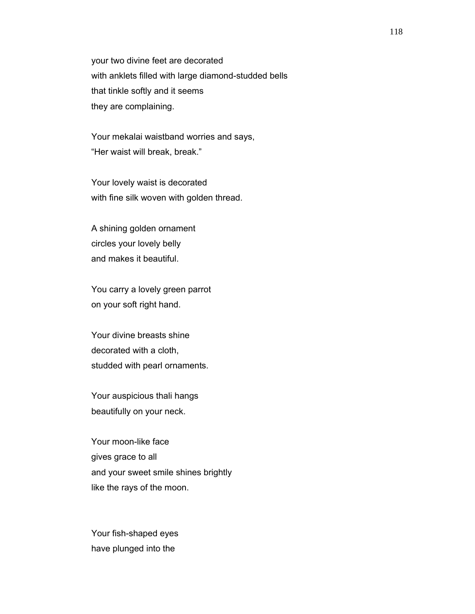your two divine feet are decorated with anklets filled with large diamond-studded bells that tinkle softly and it seems they are complaining.

 Your mekalai waistband worries and says, "Her waist will break, break."

 Your lovely waist is decorated with fine silk woven with golden thread.

 A shining golden ornament circles your lovely belly and makes it beautiful.

 You carry a lovely green parrot on your soft right hand.

 Your divine breasts shine decorated with a cloth, studded with pearl ornaments.

 Your auspicious thali hangs beautifully on your neck.

 Your moon-like face gives grace to all and your sweet smile shines brightly like the rays of the moon.

 Your fish-shaped eyes have plunged into the